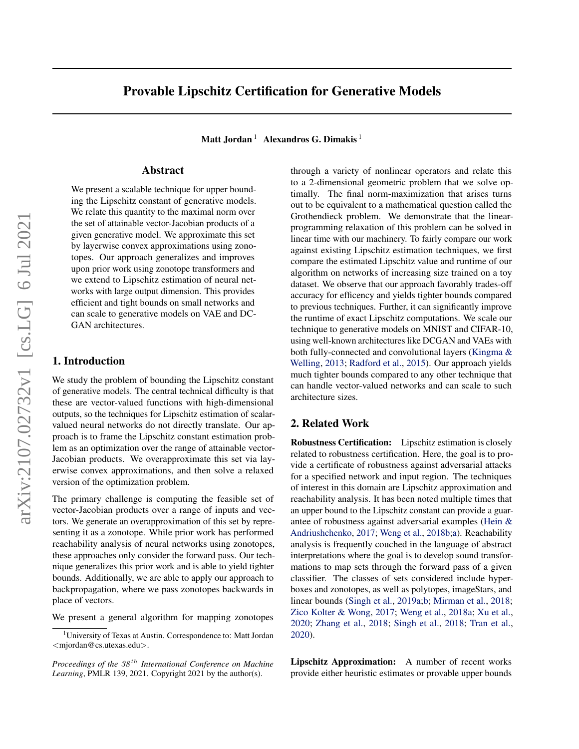# Provable Lipschitz Certification for Generative Models

Matt Jordan<sup>1</sup> Alexandros G. Dimakis<sup>1</sup>

## Abstract

We present a scalable technique for upper bounding the Lipschitz constant of generative models. We relate this quantity to the maximal norm over the set of attainable vector-Jacobian products of a given generative model. We approximate this set by layerwise convex approximations using zonotopes. Our approach generalizes and improves upon prior work using zonotope transformers and we extend to Lipschitz estimation of neural networks with large output dimension. This provides efficient and tight bounds on small networks and can scale to generative models on VAE and DC-GAN architectures.

## 1. Introduction

We study the problem of bounding the Lipschitz constant of generative models. The central technical difficulty is that these are vector-valued functions with high-dimensional outputs, so the techniques for Lipschitz estimation of scalarvalued neural networks do not directly translate. Our approach is to frame the Lipschitz constant estimation problem as an optimization over the range of attainable vector-Jacobian products. We overapproximate this set via layerwise convex approximations, and then solve a relaxed version of the optimization problem.

The primary challenge is computing the feasible set of vector-Jacobian products over a range of inputs and vectors. We generate an overapproximation of this set by representing it as a zonotope. While prior work has performed reachability analysis of neural networks using zonotopes, these approaches only consider the forward pass. Our technique generalizes this prior work and is able to yield tighter bounds. Additionally, we are able to apply our approach to backpropagation, where we pass zonotopes backwards in place of vectors.

We present a general algorithm for mapping zonotopes

through a variety of nonlinear operators and relate this to a 2-dimensional geometric problem that we solve optimally. The final norm-maximization that arises turns out to be equivalent to a mathematical question called the Grothendieck problem. We demonstrate that the linearprogramming relaxation of this problem can be solved in linear time with our machinery. To fairly compare our work against existing Lipschitz estimation techniques, we first compare the estimated Lipschitz value and runtime of our algorithm on networks of increasing size trained on a toy dataset. We observe that our approach favorably trades-off accuracy for efficency and yields tighter bounds compared to previous techniques. Further, it can significantly improve the runtime of exact Lipschitz computations. We scale our technique to generative models on MNIST and CIFAR-10, using well-known architectures like DCGAN and VAEs with both fully-connected and convolutional layers [\(Kingma &](#page-8-0) [Welling,](#page-8-0) [2013;](#page-8-0) [Radford et al.,](#page-8-0) [2015\)](#page-8-0). Our approach yields much tighter bounds compared to any other technique that can handle vector-valued networks and can scale to such architecture sizes.

## 2. Related Work

Robustness Certification: Lipschitz estimation is closely related to robustness certification. Here, the goal is to provide a certificate of robustness against adversarial attacks for a specified network and input region. The techniques of interest in this domain are Lipschitz approximation and reachability analysis. It has been noted multiple times that an upper bound to the Lipschitz constant can provide a guarantee of robustness against adversarial examples [\(Hein &](#page-8-0) [Andriushchenko,](#page-8-0) [2017;](#page-8-0) [Weng et al.,](#page-8-0) [2018b;a\)](#page-8-0). Reachability analysis is frequently couched in the language of abstract interpretations where the goal is to develop sound transformations to map sets through the forward pass of a given classifier. The classes of sets considered include hyperboxes and zonotopes, as well as polytopes, imageStars, and linear bounds [\(Singh et al.,](#page-8-0) [2019a;b;](#page-8-0) [Mirman et al.,](#page-8-0) [2018;](#page-8-0) [Zico Kolter & Wong,](#page-8-0) [2017;](#page-8-0) [Weng et al.,](#page-8-0) [2018a;](#page-8-0) [Xu et al.,](#page-8-0) [2020;](#page-8-0) [Zhang et al.,](#page-8-0) [2018;](#page-8-0) [Singh et al.,](#page-8-0) [2018;](#page-8-0) [Tran et al.,](#page-8-0) [2020\)](#page-8-0).

Lipschitz Approximation: A number of recent works provide either heuristic estimates or provable upper bounds

<sup>&</sup>lt;sup>1</sup>University of Texas at Austin. Correspondence to: Matt Jordan <mjordan@cs.utexas.edu>.

*Proceedings of the*  $38<sup>th</sup>$  *International Conference on Machine Learning*, PMLR 139, 2021. Copyright 2021 by the author(s).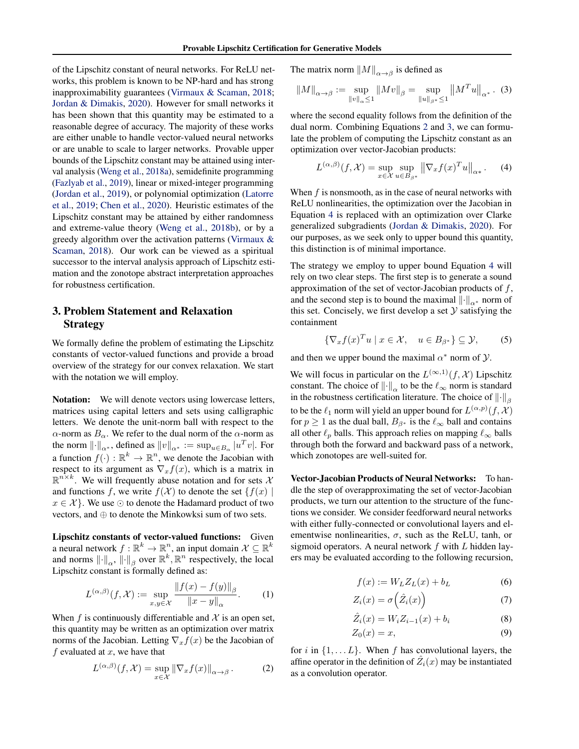<span id="page-1-0"></span>of the Lipschitz constant of neural networks. For ReLU networks, this problem is known to be NP-hard and has strong inapproximability guarantees [\(Virmaux & Scaman,](#page-8-0) [2018;](#page-8-0) [Jordan & Dimakis,](#page-8-0) [2020\)](#page-8-0). However for small networks it has been shown that this quantity may be estimated to a reasonable degree of accuracy. The majority of these works are either unable to handle vector-valued neural networks or are unable to scale to larger networks. Provable upper bounds of the Lipschitz constant may be attained using interval analysis [\(Weng et al.,](#page-8-0) [2018a\)](#page-8-0), semidefinite programming [\(Fazlyab et al.,](#page-8-0) [2019\)](#page-8-0), linear or mixed-integer programming [\(Jordan et al.,](#page-8-0) [2019\)](#page-8-0), or polynomial optimization [\(Latorre](#page-8-0) [et al.,](#page-8-0) [2019;](#page-8-0) [Chen et al.,](#page-8-0) [2020\)](#page-8-0). Heuristic estimates of the Lipschitz constant may be attained by either randomness and extreme-value theory [\(Weng et al.,](#page-8-0) [2018b\)](#page-8-0), or by a greedy algorithm over the activation patterns [\(Virmaux &](#page-8-0) [Scaman,](#page-8-0) [2018\)](#page-8-0). Our work can be viewed as a spiritual successor to the interval analysis approach of Lipschitz estimation and the zonotope abstract interpretation approaches for robustness certification.

## 3. Problem Statement and Relaxation Strategy

We formally define the problem of estimating the Lipschitz constants of vector-valued functions and provide a broad overview of the strategy for our convex relaxation. We start with the notation we will employ.

Notation: We will denote vectors using lowercase letters, matrices using capital letters and sets using calligraphic letters. We denote the unit-norm ball with respect to the α-norm as  $B_\alpha$ . We refer to the dual norm of the α-norm as the norm  $\lVert \cdot \rVert_{\alpha^*}$ , defined as  $\lVert v \rVert_{\alpha^*} := \sup_{u \in B_{\alpha}} |u^T v|$ . For a function  $f(\cdot): \mathbb{R}^k \to \mathbb{R}^n$ , we denote the Jacobian with respect to its argument as  $\nabla_x f(x)$ , which is a matrix in  $\mathbb{R}^{n \times k}$ . We will frequently abuse notation and for sets  $\lambda$ and functions f, we write  $f(\mathcal{X})$  to denote the set  $\{f(x) \mid$  $x \in \mathcal{X}$ . We use  $\odot$  to denote the Hadamard product of two vectors, and ⊕ to denote the Minkowksi sum of two sets.

Lipschitz constants of vector-valued functions: Given a neural network  $f: \mathbb{R}^k \to \mathbb{R}^n$ , an input domain  $\mathcal{X} \subseteq \mathbb{R}^k$ and norms  $\lVert \cdot \rVert_{\alpha}$ ,  $\lVert \cdot \rVert_{\beta}$  over  $\mathbb{R}^k$ ,  $\mathbb{R}^n$  respectively, the local Lipschitz constant is formally defined as:

$$
L^{(\alpha,\beta)}(f,\mathcal{X}) := \sup_{x,y \in \mathcal{X}} \frac{\|f(x) - f(y)\|_{\beta}}{\|x - y\|_{\alpha}}.
$$
 (1)

When  $f$  is continuously differentiable and  $\mathcal X$  is an open set, this quantity may be written as an optimization over matrix norms of the Jacobian. Letting  $\nabla_x f(x)$  be the Jacobian of f evaluated at  $x$ , we have that

$$
L^{(\alpha,\beta)}(f,\mathcal{X}) = \sup_{x \in \mathcal{X}} \|\nabla_x f(x)\|_{\alpha \to \beta}.
$$
 (2)

The matrix norm  $||M||_{\alpha \to \beta}$  is defined as

$$
||M||_{\alpha \to \beta} := \sup_{||v||_{\alpha} \le 1} ||Mv||_{\beta} = \sup_{||u||_{\beta^*} \le 1} ||M^T u||_{\alpha^*}.
$$
 (3)

where the second equality follows from the definition of the dual norm. Combining Equations 2 and 3, we can formulate the problem of computing the Lipschitz constant as an optimization over vector-Jacobian products:

$$
L^{(\alpha,\beta)}(f,\mathcal{X}) = \sup_{x \in \mathcal{X}} \sup_{u \in B_{\beta^*}} \left\| \nabla_x f(x)^T u \right\|_{\alpha^*}.
$$
 (4)

When  $f$  is nonsmooth, as in the case of neural networks with ReLU nonlinearities, the optimization over the Jacobian in Equation 4 is replaced with an optimization over Clarke generalized subgradients [\(Jordan & Dimakis,](#page-8-0) [2020\)](#page-8-0). For our purposes, as we seek only to upper bound this quantity, this distinction is of minimal importance.

The strategy we employ to upper bound Equation 4 will rely on two clear steps. The first step is to generate a sound approximation of the set of vector-Jacobian products of  $f$ , and the second step is to bound the maximal  $\lVert \cdot \rVert_{\alpha^*}$  norm of this set. Concisely, we first develop a set  $Y$  satisfying the containment

$$
\{\nabla_x f(x)^T u \mid x \in \mathcal{X}, \quad u \in B_{\beta^*}\} \subseteq \mathcal{Y}, \tag{5}
$$

and then we upper bound the maximal  $\alpha^*$  norm of  $\mathcal{Y}$ .

We will focus in particular on the  $L^{(\infty,1)}(f,\mathcal{X})$  Lipschitz constant. The choice of  $\|\cdot\|_{\alpha}$  to be the  $\ell_{\infty}$  norm is standard in the robustness certification literature. The choice of  $\left\| \cdot \right\|_{\beta}$ to be the  $\ell_1$  norm will yield an upper bound for  $L^{(\alpha,p)}(f,\mathcal{X})$ for  $p \ge 1$  as the dual ball,  $B_{\beta^*}$  is the  $\ell_{\infty}$  ball and contains all other  $\ell_p$  balls. This approach relies on mapping  $\ell_{\infty}$  balls through both the forward and backward pass of a network, which zonotopes are well-suited for.

Vector-Jacobian Products of Neural Networks: To handle the step of overapproximating the set of vector-Jacobian products, we turn our attention to the structure of the functions we consider. We consider feedforward neural networks with either fully-connected or convolutional layers and elementwise nonlinearities,  $\sigma$ , such as the ReLU, tanh, or sigmoid operators. A neural network  $f$  with  $L$  hidden layers may be evaluated according to the following recursion,

$$
f(x) := W_L Z_L(x) + b_L \tag{6}
$$

$$
Z_i(x) = \sigma\left(\hat{Z}_i(x)\right) \tag{7}
$$

$$
\hat{Z}_i(x) = W_i Z_{i-1}(x) + b_i \tag{8}
$$

$$
Z_0(x) = x,\t\t(9)
$$

for i in  $\{1, \ldots L\}$ . When f has convolutional layers, the affine operator in the definition of  $\hat{Z}_i(x)$  may be instantiated as a convolution operator.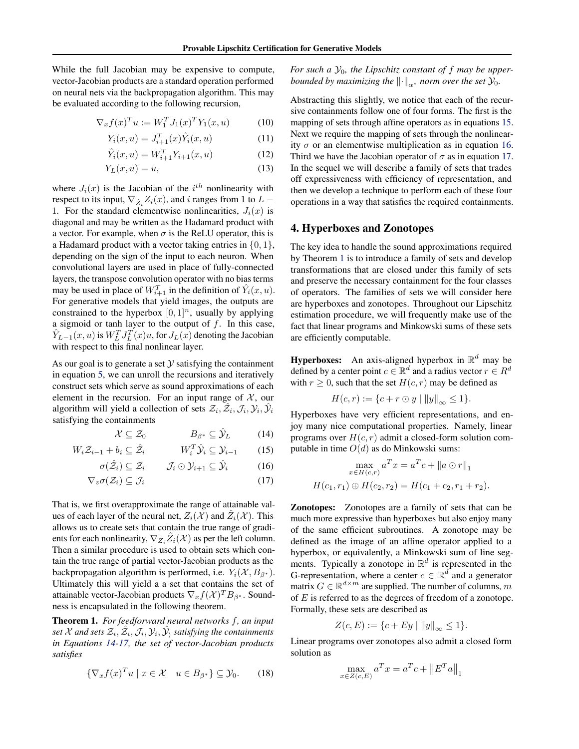<span id="page-2-0"></span>While the full Jacobian may be expensive to compute, vector-Jacobian products are a standard operation performed on neural nets via the backpropagation algorithm. This may be evaluated according to the following recursion,

$$
\nabla_x f(x)^T u := W_1^T J_1(x)^T Y_1(x, u)
$$
 (10)

$$
Y_i(x, u) = J_{i+1}^T(x)\hat{Y}_i(x, u)
$$
\n(11)

$$
\hat{Y}_i(x, u) = W_{i+1}^T Y_{i+1}(x, u)
$$
\n(12)

$$
Y_L(x, u) = u,\t\t(13)
$$

where  $J_i(x)$  is the Jacobian of the  $i^{th}$  nonlinearity with respect to its input,  $\nabla_{\hat{Z}_i} Z_i(x)$ , and i ranges from 1 to  $L$  – 1. For the standard elementwise nonlinearities,  $J_i(x)$  is diagonal and may be written as the Hadamard product with a vector. For example, when  $\sigma$  is the ReLU operator, this is a Hadamard product with a vector taking entries in  $\{0, 1\}$ , depending on the sign of the input to each neuron. When convolutional layers are used in place of fully-connected layers, the transpose convolution operator with no bias terms may be used in place of  $W_{i+1}^T$  in the definition of  $\hat{Y}_i(x, u)$ . For generative models that yield images, the outputs are constrained to the hyperbox  $[0, 1]^n$ , usually by applying a sigmoid or tanh layer to the output of  $f$ . In this case,  $\hat{Y}_{L-1}(x, u)$  is  $W_L^T J_L^T(x) u$ , for  $J_L(x)$  denoting the Jacobian with respect to this final nonlinear layer.

As our goal is to generate a set  $Y$  satisfying the containment in equation [5,](#page-1-0) we can unroll the recursions and iteratively construct sets which serve as sound approximations of each element in the recursion. For an input range of  $X$ , our algorithm will yield a collection of sets  $\mathcal{Z}_i$ ,  $\hat{\mathcal{Z}}_i$ ,  $\mathcal{J}_i$ ,  $\mathcal{Y}_i$ ,  $\hat{\mathcal{Y}}_i$ satisfying the containments

$$
\mathcal{X} \subseteq \mathcal{Z}_0 \qquad \qquad B_{\beta^*} \subseteq \hat{\mathcal{Y}}_L \qquad \qquad (14)
$$

$$
W_i \mathcal{Z}_{i-1} + b_i \subseteq \hat{\mathcal{Z}}_i \qquad W_i^T \hat{\mathcal{Y}}_i \subseteq \mathcal{Y}_{i-1} \qquad (15)
$$

$$
\sigma(\hat{\mathcal{Z}}_i) \subseteq \mathcal{Z}_i \qquad \mathcal{J}_i \odot \mathcal{Y}_{i+1} \subseteq \hat{\mathcal{Y}}_i \tag{16}
$$

$$
\nabla_z \sigma(\mathcal{Z}_i) \subseteq \mathcal{J}_i \tag{17}
$$

That is, we first overapproximate the range of attainable values of each layer of the neural net,  $Z_i(\mathcal{X})$  and  $\hat{Z}_i(\mathcal{X})$ . This allows us to create sets that contain the true range of gradients for each nonlinearity,  $\nabla_{Z_i} \hat{Z}_i(\mathcal{X})$  as per the left column. Then a similar procedure is used to obtain sets which contain the true range of partial vector-Jacobian products as the backpropagation algorithm is performed, i.e.  $Y_i(\mathcal{X}, B_{\beta^*})$ . Ultimately this will yield a a set that contains the set of attainable vector-Jacobian products  $\nabla_x f(\mathcal{X})^T B_{\beta^*}$ . Soundness is encapsulated in the following theorem.

Theorem 1. *For feedforward neural networks* f*, an input* set  $\mathcal X$  and sets  $\mathcal Z_i, \hat{\mathcal Z}_i, \mathcal J_i, \mathcal Y_i, \hat{\mathcal Y}_\rangle$  satisfying the containments *in Equations 14-17, the set of vector-Jacobian products satisfies*

$$
\{\nabla_x f(x)^T u \mid x \in \mathcal{X} \quad u \in B_{\beta^*}\} \subseteq \mathcal{Y}_0. \tag{18}
$$

For such a  $\mathcal{Y}_0$ , the Lipschitz constant of f may be upper*bounded by maximizing the*  $\left\| \cdot \right\|_{\alpha^*}$  *norm over the set*  $\mathcal{Y}_0$ *.* 

Abstracting this slightly, we notice that each of the recursive containments follow one of four forms. The first is the mapping of sets through affine operators as in equations 15. Next we require the mapping of sets through the nonlinearity  $\sigma$  or an elementwise multiplication as in equation 16. Third we have the Jacobian operator of  $\sigma$  as in equation 17. In the sequel we will describe a family of sets that trades off expressiveness with efficiency of representation, and then we develop a technique to perform each of these four operations in a way that satisfies the required containments.

## 4. Hyperboxes and Zonotopes

The key idea to handle the sound approximations required by Theorem 1 is to introduce a family of sets and develop transformations that are closed under this family of sets and preserve the necessary containment for the four classes of operators. The families of sets we will consider here are hyperboxes and zonotopes. Throughout our Lipschitz estimation procedure, we will frequently make use of the fact that linear programs and Minkowski sums of these sets are efficiently computable.

**Hyperboxes:** An axis-aligned hyperbox in  $\mathbb{R}^d$  may be defined by a center point  $c \in \mathbb{R}^d$  and a radius vector  $r \in R^d$ with  $r \geq 0$ , such that the set  $H(c, r)$  may be defined as

$$
H(c,r) := \{c + r \odot y \mid ||y||_{\infty} \le 1\}.
$$

Hyperboxes have very efficient representations, and enjoy many nice computational properties. Namely, linear programs over  $H(c, r)$  admit a closed-form solution computable in time  $O(d)$  as do Minkowski sums:

$$
\max_{x \in H(c,r)} a^T x = a^T c + ||a \odot r||_1
$$
  

$$
H(c_1, r_1) \oplus H(c_2, r_2) = H(c_1 + c_2, r_1 + r_2).
$$

Zonotopes: Zonotopes are a family of sets that can be much more expressive than hyperboxes but also enjoy many of the same efficient subroutines. A zonotope may be defined as the image of an affine operator applied to a hyperbox, or equivalently, a Minkowski sum of line segments. Typically a zonotope in  $\mathbb{R}^d$  is represented in the G-representation, where a center  $c \in \mathbb{R}^d$  and a generator matrix  $G \in \mathbb{R}^{d \times m}$  are supplied. The number of columns, m of  $E$  is referred to as the degrees of freedom of a zonotope. Formally, these sets are described as

$$
Z(c, E) := \{c + Ey \mid ||y||_{\infty} \le 1\}.
$$

Linear programs over zonotopes also admit a closed form solution as

$$
\max_{x \in Z(c,E)} a^T x = a^T c + ||E^T a||_1
$$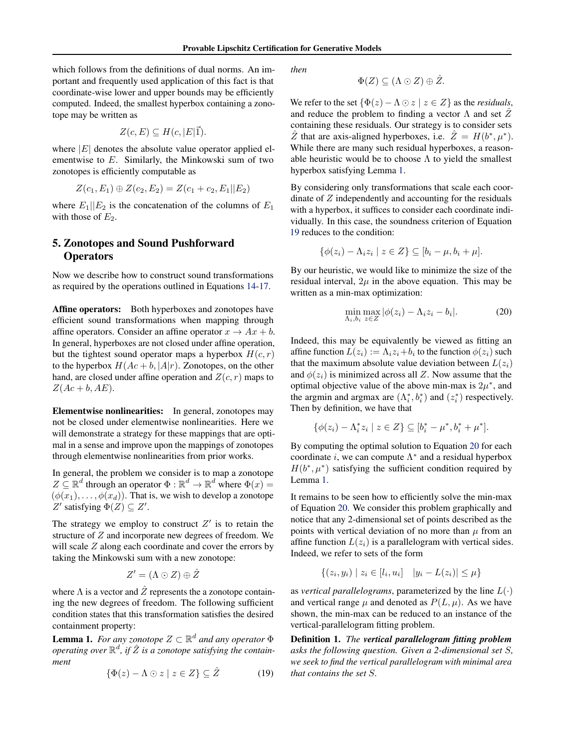<span id="page-3-0"></span>which follows from the definitions of dual norms. An important and frequently used application of this fact is that coordinate-wise lower and upper bounds may be efficiently computed. Indeed, the smallest hyperbox containing a zonotope may be written as

$$
Z(c, E) \subseteq H(c, |E|\vec{1}).
$$

where  $|E|$  denotes the absolute value operator applied elementwise to E. Similarly, the Minkowski sum of two zonotopes is efficiently computable as

$$
Z(c_1, E_1) \oplus Z(c_2, E_2) = Z(c_1 + c_2, E_1||E_2)
$$

where  $E_1||E_2$  is the concatenation of the columns of  $E_1$ with those of  $E_2$ .

## 5. Zonotopes and Sound Pushforward **Operators**

Now we describe how to construct sound transformations as required by the operations outlined in Equations [14-17.](#page-2-0)

Affine operators: Both hyperboxes and zonotopes have efficient sound transformations when mapping through affine operators. Consider an affine operator  $x \to Ax + b$ . In general, hyperboxes are not closed under affine operation, but the tightest sound operator maps a hyperbox  $H(c, r)$ to the hyperbox  $H(Ac + b, |A|r)$ . Zonotopes, on the other hand, are closed under affine operation and  $Z(c, r)$  maps to  $Z(Ac + b, AE).$ 

Elementwise nonlinearities: In general, zonotopes may not be closed under elementwise nonlinearities. Here we will demonstrate a strategy for these mappings that are optimal in a sense and improve upon the mappings of zonotopes through elementwise nonlinearities from prior works.

In general, the problem we consider is to map a zonotope  $Z \subseteq \mathbb{R}^d$  through an operator  $\Phi : \mathbb{R}^d \to \mathbb{R}^d$  where  $\Phi(x) =$  $(\phi(x_1), \ldots, \phi(x_d))$ . That is, we wish to develop a zonotope Z' satisfying  $\Phi(Z) \subseteq Z'$ .

The strategy we employ to construct  $Z'$  is to retain the structure of Z and incorporate new degrees of freedom. We will scale Z along each coordinate and cover the errors by taking the Minkowski sum with a new zonotope:

$$
Z' = (\Lambda \odot Z) \oplus \hat{Z}
$$

where  $\Lambda$  is a vector and  $\hat{Z}$  represents the a zonotope containing the new degrees of freedom. The following sufficient condition states that this transformation satisfies the desired containment property:

**Lemma 1.** For any zonotope  $Z \subset \mathbb{R}^d$  and any operator  $\Phi$ *operating over*  $\mathbb{R}^d$ , if  $\hat{Z}$  is a zonotope satisfying the contain*ment*

$$
\{\Phi(z) - \Lambda \odot z \mid z \in Z\} \subseteq \hat{Z} \tag{19}
$$

*then*

$$
\Phi(Z) \subseteq (\Lambda \odot Z) \oplus \hat{Z}.
$$

We refer to the set  $\{\Phi(z) - \Lambda \odot z \mid z \in Z\}$  as the *residuals*, and reduce the problem to finding a vector  $\Lambda$  and set  $\overline{Z}$ containing these residuals. Our strategy is to consider sets  $\hat{Z}$  that are axis-aligned hyperboxes, i.e.  $\hat{Z} = H(b^*, \mu^*).$ While there are many such residual hyperboxes, a reasonable heuristic would be to choose  $\Lambda$  to yield the smallest hyperbox satisfying Lemma 1.

By considering only transformations that scale each coordinate of  $Z$  independently and accounting for the residuals with a hyperbox, it suffices to consider each coordinate individually. In this case, the soundness criterion of Equation 19 reduces to the condition:

$$
\{\phi(z_i) - \Lambda_i z_i \mid z \in Z\} \subseteq [b_i - \mu, b_i + \mu].
$$

By our heuristic, we would like to minimize the size of the residual interval,  $2\mu$  in the above equation. This may be written as a min-max optimization:

$$
\min_{\Lambda_i, b_i} \max_{z \in Z} |\phi(z_i) - \Lambda_i z_i - b_i|.
$$
 (20)

Indeed, this may be equivalently be viewed as fitting an affine function  $L(z_i) := \Lambda_i z_i + b_i$  to the function  $\phi(z_i)$  such that the maximum absolute value deviation between  $L(z<sub>i</sub>)$ and  $\phi(z_i)$  is minimized across all Z. Now assume that the optimal objective value of the above min-max is  $2\mu^*$ , and the argmin and argmax are  $(\Lambda_i^*, b_i^*)$  and  $(z_i^*)$  respectively. Then by definition, we have that

$$
\{\phi(z_i) - \Lambda_i^* z_i \mid z \in Z\} \subseteq [b_i^* - \mu^*, b_i^* + \mu^*].
$$

By computing the optimal solution to Equation 20 for each coordinate *i*, we can compute  $\Lambda^*$  and a residual hyperbox  $H(b^*, \mu^*)$  satisfying the sufficient condition required by Lemma 1.

It remains to be seen how to efficiently solve the min-max of Equation 20. We consider this problem graphically and notice that any 2-dimensional set of points described as the points with vertical deviation of no more than  $\mu$  from an affine function  $L(z_i)$  is a parallelogram with vertical sides. Indeed, we refer to sets of the form

$$
\{(z_i, y_i) \mid z_i \in [l_i, u_i] \quad |y_i - L(z_i)| \le \mu\}
$$

as *vertical parallelograms*, parameterized by the line  $L(\cdot)$ and vertical range  $\mu$  and denoted as  $P(L, \mu)$ . As we have shown, the min-max can be reduced to an instance of the vertical-parallelogram fitting problem.

Definition 1. *The vertical parallelogram fitting problem asks the following question. Given a 2-dimensional set* S*, we seek to find the vertical parallelogram with minimal area that contains the set* S*.*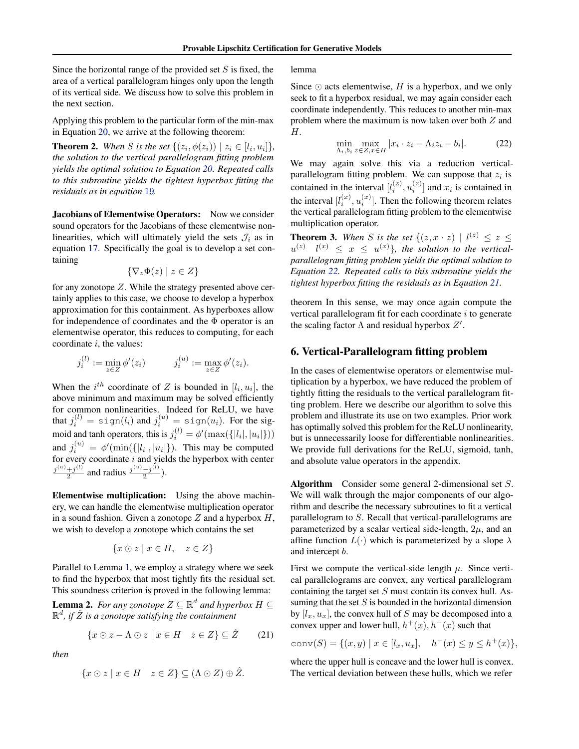<span id="page-4-0"></span>Since the horizontal range of the provided set  $S$  is fixed, the area of a vertical parallelogram hinges only upon the length of its vertical side. We discuss how to solve this problem in the next section.

Applying this problem to the particular form of the min-max in Equation [20,](#page-3-0) we arrive at the following theorem:

**Theorem 2.** When *S* is the set  $\{(z_i, \phi(z_i)) \mid z_i \in [l_i, u_i]\},\$ *the solution to the vertical parallelogram fitting problem yields the optimal solution to Equation [20.](#page-3-0) Repeated calls to this subroutine yields the tightest hyperbox fitting the residuals as in equation* [19](#page-3-0)*.*

Jacobians of Elementwise Operators: Now we consider sound operators for the Jacobians of these elementwise nonlinearities, which will ultimately yield the sets  $\mathcal{J}_i$  as in equation [17.](#page-2-0) Specifically the goal is to develop a set containing

$$
\{\nabla_z \Phi(z) \mid z \in Z\}
$$

for any zonotope Z. While the strategy presented above certainly applies to this case, we choose to develop a hyperbox approximation for this containment. As hyperboxes allow for independence of coordinates and the  $\Phi$  operator is an elementwise operator, this reduces to computing, for each coordinate  $i$ , the values:

$$
j_i^{(l)} := \min_{z \in Z} \phi'(z_i)
$$
  $j_i^{(u)} := \max_{z \in Z} \phi'(z_i).$ 

When the  $i^{th}$  coordinate of Z is bounded in  $[l_i, u_i]$ , the above minimum and maximum may be solved efficiently for common nonlinearities. Indeed for ReLU, we have that  $j_i^{(l)}=\text{sign}(l_i)$  and  $j_i^{(u)}=\text{sign}(u_i).$  For the sigmoid and tanh operators, this is  $j_i^{(l)} = \phi'(\max(\{|l_i|, |u_i|\}))$ and  $j_i^{(u)} = \phi'(\min(\{|l_i|, |u_i|\})$ . This may be computed for every coordinate  $i$  and yields the hyperbox with center  $j^{(u)}+j^{(l)}$  $\frac{+j^{(l)}}{2}$  and radius  $\frac{j^{(u)}-j^{(l)}}{2}$  $\frac{-j^{(1)}}{2}$ ).

Elementwise multiplication: Using the above machinery, we can handle the elementwise multiplication operator in a sound fashion. Given a zonotope  $Z$  and a hyperbox  $H$ , we wish to develop a zonotope which contains the set

$$
\{x \odot z \mid x \in H, \quad z \in Z\}
$$

Parallel to Lemma [1,](#page-3-0) we employ a strategy where we seek to find the hyperbox that most tightly fits the residual set. This soundness criterion is proved in the following lemma:

**Lemma 2.** For any zonotope  $Z \subseteq \mathbb{R}^d$  and hyperbox  $H \subseteq$  $\mathbb{R}^d$ , if  $\hat{Z}$  is a zonotope satisfying the containment

$$
\{x \odot z - \Lambda \odot z \mid x \in H \quad z \in Z\} \subseteq \hat{Z} \tag{21}
$$

*then*

$$
\{x \odot z \mid x \in H \quad z \in Z\} \subseteq (\Lambda \odot Z) \oplus \hat{Z}.
$$

lemma

Since  $\odot$  acts elementwise, H is a hyperbox, and we only seek to fit a hyperbox residual, we may again consider each coordinate independently. This reduces to another min-max problem where the maximum is now taken over both Z and H.

$$
\min_{\Lambda_i, b_i} \max_{z \in Z, x \in H} |x_i \cdot z_i - \Lambda_i z_i - b_i|.
$$
 (22)

We may again solve this via a reduction verticalparallelogram fitting problem. We can suppose that  $z_i$  is contained in the interval  $[l_i^{(z)}, u_i^{(z)}]$  and  $x_i$  is contained in the interval  $[l_i^{(x)}, u_i^{(x)}]$ . Then the following theorem relates the vertical parallelogram fitting problem to the elementwise multiplication operator.

**Theorem 3.** When S is the set  $\{(z, x \cdot z) \mid l^{(z)} \leq z \leq z\}$  $u^{(z)}$   $l^{(x)} \leq x \leq u^{(x)}$ }, the solution to the vertical*parallelogram fitting problem yields the optimal solution to Equation 22. Repeated calls to this subroutine yields the tightest hyperbox fitting the residuals as in Equation 21.*

theorem In this sense, we may once again compute the vertical parallelogram fit for each coordinate i to generate the scaling factor  $\Lambda$  and residual hyperbox  $Z'$ .

### 6. Vertical-Parallelogram fitting problem

In the cases of elementwise operators or elementwise multiplication by a hyperbox, we have reduced the problem of tightly fitting the residuals to the vertical parallelogram fitting problem. Here we describe our algorithm to solve this problem and illustrate its use on two examples. Prior work has optimally solved this problem for the ReLU nonlinearity, but is unnecessarily loose for differentiable nonlinearities. We provide full derivations for the ReLU, sigmoid, tanh, and absolute value operators in the appendix.

Algorithm Consider some general 2-dimensional set S. We will walk through the major components of our algorithm and describe the necessary subroutines to fit a vertical parallelogram to S. Recall that vertical-parallelograms are parameterized by a scalar vertical side-length,  $2\mu$ , and an affine function  $L(\cdot)$  which is parameterized by a slope  $\lambda$ and intercept b.

First we compute the vertical-side length  $\mu$ . Since vertical parallelograms are convex, any vertical parallelogram containing the target set  $S$  must contain its convex hull. Assuming that the set  $S$  is bounded in the horizontal dimension by  $[l_x, u_x]$ , the convex hull of S may be decomposed into a convex upper and lower hull,  $h^+(x)$ ,  $h^-(x)$  such that

$$
conv(S) = \{(x, y) \mid x \in [l_x, u_x], \quad h^-(x) \le y \le h^+(x)\},
$$

where the upper hull is concave and the lower hull is convex. The vertical deviation between these hulls, which we refer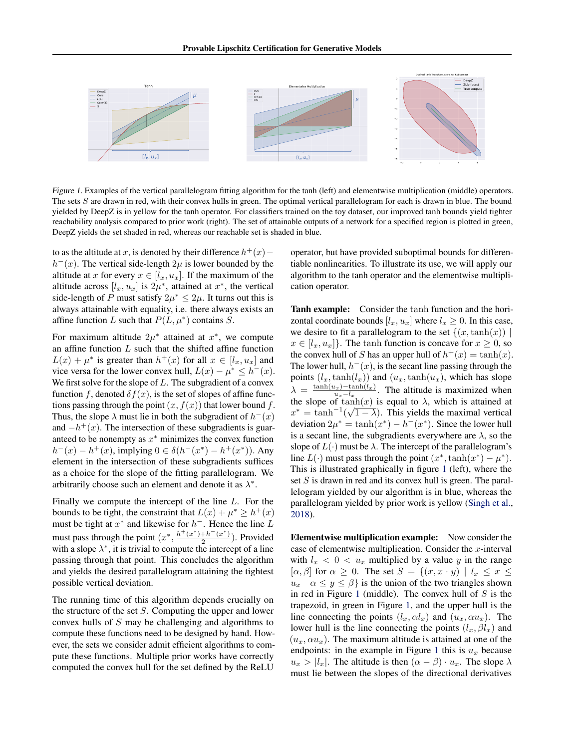

Figure 1. Examples of the vertical parallelogram fitting algorithm for the tanh (left) and elementwise multiplication (middle) operators. The sets S are drawn in red, with their convex hulls in green. The optimal vertical parallelogram for each is drawn in blue. The bound yielded by DeepZ is in yellow for the tanh operator. For classifiers trained on the toy dataset, our improved tanh bounds yield tighter reachability analysis compared to prior work (right). The set of attainable outputs of a network for a specified region is plotted in green, DeepZ yields the set shaded in red, whereas our reachable set is shaded in blue.

to as the altitude at x, is denoted by their difference  $h^+(x)$  –  $h^{-}(x)$ . The vertical side-length  $2\mu$  is lower bounded by the altitude at x for every  $x \in [l_x, u_x]$ . If the maximum of the altitude across  $[l_x, u_x]$  is  $2\mu^*$ , attained at  $x^*$ , the vertical side-length of P must satisfy  $2\mu^* \leq 2\mu$ . It turns out this is always attainable with equality, i.e. there always exists an affine function L such that  $P(L, \mu^*)$  contains S.

For maximum altitude  $2\mu^*$  attained at  $x^*$ , we compute an affine function  $L$  such that the shifted affine function  $L(x) + \mu^*$  is greater than  $h^+(x)$  for all  $x \in [l_x, u_x]$  and vice versa for the lower convex hull,  $L(x) - \mu^* \leq h^-(x)$ . We first solve for the slope of  $L$ . The subgradient of a convex function f, denoted  $\delta f(x)$ , is the set of slopes of affine functions passing through the point  $(x, f(x))$  that lower bound f. Thus, the slope  $\lambda$  must lie in both the subgradient of  $h^{-}(x)$ and  $-h^+(x)$ . The intersection of these subgradients is guaranteed to be nonempty as  $x^*$  minimizes the convex function  $h^{-}(x) - h^{+}(x)$ , implying  $0 \in \delta(h^{-}(x^{*}) - h^{+}(x^{*}))$ . Any element in the intersection of these subgradients suffices as a choice for the slope of the fitting parallelogram. We arbitrarily choose such an element and denote it as  $\lambda^*$ .

Finally we compute the intercept of the line L. For the bounds to be tight, the constraint that  $L(x) + \mu^* \geq h^+(x)$ must be tight at  $x^*$  and likewise for  $h^-$ . Hence the line L must pass through the point  $(x^*, \frac{h^+(x^*)+h^-(x^*)}{2})$  $\frac{+n-(x)}{2}$ ). Provided with a slope  $\lambda^*$ , it is trivial to compute the intercept of a line passing through that point. This concludes the algorithm and yields the desired parallelogram attaining the tightest possible vertical deviation.

The running time of this algorithm depends crucially on the structure of the set  $S$ . Computing the upper and lower convex hulls of S may be challenging and algorithms to compute these functions need to be designed by hand. However, the sets we consider admit efficient algorithms to compute these functions. Multiple prior works have correctly computed the convex hull for the set defined by the ReLU

operator, but have provided suboptimal bounds for differentiable nonlinearities. To illustrate its use, we will apply our algorithm to the tanh operator and the elementwise multiplication operator.

Tanh example: Consider the tanh function and the horizontal coordinate bounds  $[l_x, u_x]$  where  $l_x \geq 0$ . In this case, we desire to fit a parallelogram to the set  $\{(x,\tanh(x)) \mid$  $x \in [l_x, u_x]$ . The tanh function is concave for  $x \geq 0$ , so the convex hull of S has an upper hull of  $h^+(x) = \tanh(x)$ . The lower hull,  $h^{-}(x)$ , is the secant line passing through the points  $(l_x, \tanh(l_x))$  and  $(u_x, \tanh(u_x))$ , which has slope  $\lambda = \frac{\tanh(u_x) - \tanh(l_x)}{u - l}$  $\frac{u_x - l_{x-1}}{u_x - l_x}$ . The altitude is maximized when the slope of tanh $(x)$  is equal to  $\lambda$ , which is attained at  $x^* = \tanh^{-1}(\sqrt{1-\lambda})$ . This yields the maximal vertical deviation  $2\mu^* = \tanh(x^*) - h^-(x^*)$ . Since the lower hull is a secant line, the subgradients everywhere are  $\lambda$ , so the slope of  $L(\cdot)$  must be  $\lambda$ . The intercept of the parallelogram's line  $L(\cdot)$  must pass through the point  $(x^*, \tanh(x^*) - \mu^*)$ . This is illustrated graphically in figure 1 (left), where the set S is drawn in red and its convex hull is green. The parallelogram yielded by our algorithm is in blue, whereas the parallelogram yielded by prior work is yellow [\(Singh et al.,](#page-8-0) [2018\)](#page-8-0).

Elementwise multiplication example: Now consider the case of elementwise multiplication. Consider the  $x$ -interval with  $l_x < 0 < u_x$  multiplied by a value y in the range  $[\alpha, \beta]$  for  $\alpha \geq 0$ . The set  $S = \{(x, x \cdot y) \mid l_x \leq x \leq \alpha\}$  $u_x \alpha \leq y \leq \beta$  is the union of the two triangles shown in red in Figure 1 (middle). The convex hull of  $S$  is the trapezoid, in green in Figure 1, and the upper hull is the line connecting the points  $(l_x, \alpha l_x)$  and  $(u_x, \alpha u_x)$ . The lower hull is the line connecting the points  $(l_x, \beta l_x)$  and  $(u_x, \alpha u_x)$ . The maximum altitude is attained at one of the endpoints: in the example in Figure 1 this is  $u_x$  because  $u_x > |l_x|$ . The altitude is then  $(\alpha - \beta) \cdot u_x$ . The slope  $\lambda$ must lie between the slopes of the directional derivatives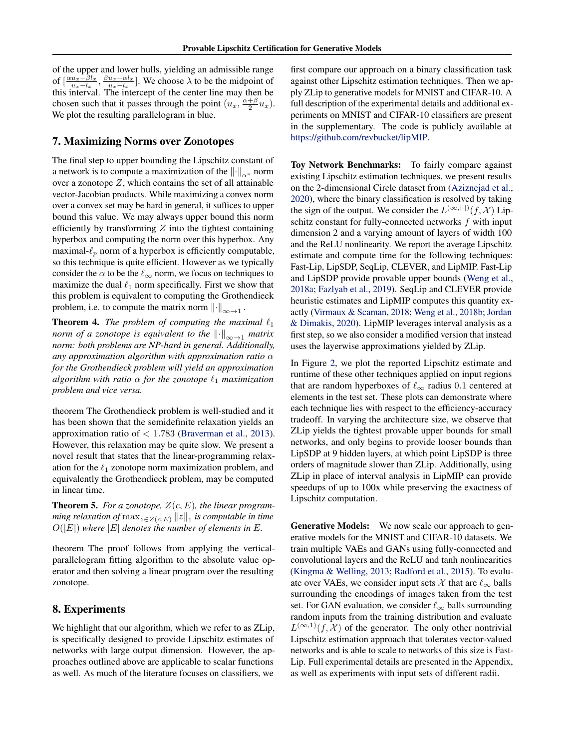<span id="page-6-0"></span>of the upper and lower hulls, yielding an admissible range of  $\left[\frac{\alpha u_x - \beta l_x}{u_x - l_x}, \frac{\beta u_x - \alpha l_x}{u_x - l_x}\right]$ . We choose  $\lambda$  to be the midpoint of this interval. The intercept of the center line may then be chosen such that it passes through the point  $(u_x, \frac{\alpha+\beta}{2}u_x)$ . We plot the resulting parallelogram in blue.

### 7. Maximizing Norms over Zonotopes

The final step to upper bounding the Lipschitz constant of a network is to compute a maximization of the  $\lVert \cdot \rVert_{\alpha^*}$  norm over a zonotope  $Z$ , which contains the set of all attainable vector-Jacobian products. While maximizing a convex norm over a convex set may be hard in general, it suffices to upper bound this value. We may always upper bound this norm efficiently by transforming  $Z$  into the tightest containing hyperbox and computing the norm over this hyperbox. Any maximal- $\ell_p$  norm of a hyperbox is efficiently computable, so this technique is quite efficient. However as we typically consider the  $\alpha$  to be the  $\ell_{\infty}$  norm, we focus on techniques to maximize the dual  $\ell_1$  norm specifically. First we show that this problem is equivalent to computing the Grothendieck problem, i.e. to compute the matrix norm  $\left\|\cdot\right\|_{\infty\to 1}$ .

**Theorem 4.** *The problem of computing the maximal*  $\ell_1$ *norm of a zonotope is equivalent to the*  $\left\Vert \cdot \right\Vert_{\infty \to 1}$  *matrix norm: both problems are NP-hard in general. Additionally, any approximation algorithm with approximation ratio* α *for the Grothendieck problem will yield an approximation algorithm with ratio*  $\alpha$  *for the zonotope*  $\ell_1$  *maximization problem and vice versa.*

theorem The Grothendieck problem is well-studied and it has been shown that the semidefinite relaxation yields an approximation ratio of  $< 1.783$  [\(Braverman et al.,](#page-8-0) [2013\)](#page-8-0). However, this relaxation may be quite slow. We present a novel result that states that the linear-programming relaxation for the  $\ell_1$  zonotope norm maximization problem, and equivalently the Grothendieck problem, may be computed in linear time.

**Theorem 5.** For a zonotope,  $Z(c, E)$ , the linear program- $\emph{ming relaxation of} \max_{z \in Z(c,E)} \left\lVert z \right\rVert_1$  is computable in time  $O(|E|)$  where  $|E|$  denotes the number of elements in E.

theorem The proof follows from applying the verticalparallelogram fitting algorithm to the absolute value operator and then solving a linear program over the resulting zonotope.

## 8. Experiments

We highlight that our algorithm, which we refer to as ZLip, is specifically designed to provide Lipschitz estimates of networks with large output dimension. However, the approaches outlined above are applicable to scalar functions as well. As much of the literature focuses on classifiers, we

first compare our approach on a binary classification task against other Lipschitz estimation techniques. Then we apply ZLip to generative models for MNIST and CIFAR-10. A full description of the experimental details and additional experiments on MNIST and CIFAR-10 classifiers are present in the supplementary. The code is publicly available at [https://github.com/revbucket/lipMIP.](https://github.com/revbucket/lipMIP)

Toy Network Benchmarks: To fairly compare against existing Lipschitz estimation techniques, we present results on the 2-dimensional Circle dataset from [\(Aziznejad et al.,](#page-8-0) [2020\)](#page-8-0), where the binary classification is resolved by taking the sign of the output. We consider the  $L^{(\infty,|\cdot|)}(f,\mathcal{X})$  Lipschitz constant for fully-connected networks f with input dimension 2 and a varying amount of layers of width 100 and the ReLU nonlinearity. We report the average Lipschitz estimate and compute time for the following techniques: Fast-Lip, LipSDP, SeqLip, CLEVER, and LipMIP. Fast-Lip and LipSDP provide provable upper bounds [\(Weng et al.,](#page-8-0) [2018a;](#page-8-0) [Fazlyab et al.,](#page-8-0) [2019\)](#page-8-0). SeqLip and CLEVER provide heuristic estimates and LipMIP computes this quantity exactly [\(Virmaux & Scaman,](#page-8-0) [2018;](#page-8-0) [Weng et al.,](#page-8-0) [2018b;](#page-8-0) [Jordan](#page-8-0) [& Dimakis,](#page-8-0) [2020\)](#page-8-0). LipMIP leverages interval analysis as a first step, so we also consider a modified version that instead uses the layerwise approximations yielded by ZLip.

In Figure [2,](#page-7-0) we plot the reported Lipschitz estimate and runtime of these other techniques applied on input regions that are random hyperboxes of  $\ell_{\infty}$  radius 0.1 centered at elements in the test set. These plots can demonstrate where each technique lies with respect to the efficiency-accuracy tradeoff. In varying the architecture size, we observe that ZLip yields the tightest provable upper bounds for small networks, and only begins to provide looser bounds than LipSDP at 9 hidden layers, at which point LipSDP is three orders of magnitude slower than ZLip. Additionally, using ZLip in place of interval analysis in LipMIP can provide speedups of up to 100x while preserving the exactness of Lipschitz computation.

Generative Models: We now scale our approach to generative models for the MNIST and CIFAR-10 datasets. We train multiple VAEs and GANs using fully-connected and convolutional layers and the ReLU and tanh nonlinearities [\(Kingma & Welling,](#page-8-0) [2013;](#page-8-0) [Radford et al.,](#page-8-0) [2015\)](#page-8-0). To evaluate over VAEs, we consider input sets X that are  $\ell_{\infty}$  balls surrounding the encodings of images taken from the test set. For GAN evaluation, we consider  $\ell_{\infty}$  balls surrounding random inputs from the training distribution and evaluate  $L^{(\infty,1)}(f,\mathcal{X})$  of the generator. The only other nontrivial Lipschitz estimation approach that tolerates vector-valued networks and is able to scale to networks of this size is Fast-Lip. Full experimental details are presented in the Appendix, as well as experiments with input sets of different radii.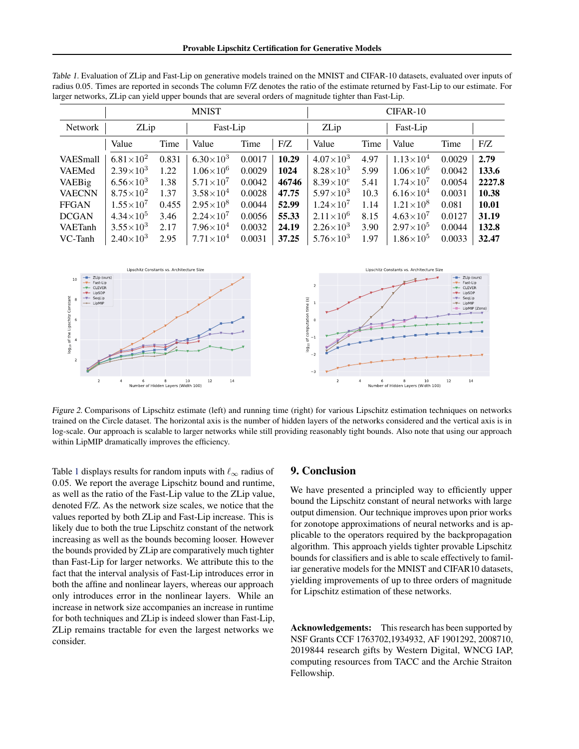|                 | <b>MNIST</b>       |       |                    |        | CIFAR-10 |                    |      |                    |        |        |
|-----------------|--------------------|-------|--------------------|--------|----------|--------------------|------|--------------------|--------|--------|
| <b>Network</b>  | ZLip<br>Fast-Lip   |       |                    |        | ZLip     | Fast-Lip           |      |                    |        |        |
|                 | Value              | Time  | Value              | Time   | F/Z      | Value              | Time | Value              | Time   | F/Z    |
| <b>VAESmall</b> | $6.81\times10^{2}$ | 0.831 | $6.30\times10^{3}$ | 0.0017 | 10.29    | $4.07\times10^{3}$ | 4.97 | $1.13\times10^{4}$ | 0.0029 | 2.79   |
| VAEMed          | $2.39\times10^{3}$ | 1.22  | $1.06\times10^{6}$ | 0.0029 | 1024     | $8.28\times10^{3}$ | 5.99 | $1.06\times10^{6}$ | 0.0042 | 133.6  |
| <b>VAEBig</b>   | $6.56\times10^{3}$ | 1.38  | $5.71\times10^{7}$ | 0.0042 | 46746    | $8.39\times10^{e}$ | 5.41 | $1.74\times10^{7}$ | 0.0054 | 2227.8 |
| <b>VAECNN</b>   | $8.75\times10^{2}$ | 1.37  | $3.58\times10^{4}$ | 0.0028 | 47.75    | $5.97\times10^{3}$ | 10.3 | $6.16\times10^{4}$ | 0.0031 | 10.38  |
| <b>FFGAN</b>    | $1.55\times10^{7}$ | 0.455 | $2.95\times10^{8}$ | 0.0044 | 52.99    | $1.24\times10^{7}$ | 1.14 | $1.21\times10^{8}$ | 0.081  | 10.01  |
| <b>DCGAN</b>    | $4.34\times10^{5}$ | 3.46  | $2.24\times10^{7}$ | 0.0056 | 55.33    | $2.11\times10^{6}$ | 8.15 | $4.63\times10^{7}$ | 0.0127 | 31.19  |
| <b>VAETanh</b>  | $3.55 \times 10^3$ | 2.17  | $7.96\times10^{4}$ | 0.0032 | 24.19    | $2.26\times10^{3}$ | 3.90 | $2.97\times10^{5}$ | 0.0044 | 132.8  |
| VC-Tanh         | $2.40\times10^{3}$ | 2.95  | $7.71\times10^{4}$ | 0.0031 | 37.25    | $5.76 \times 10^3$ | 1.97 | $1.86\times10^{5}$ | 0.0033 | 32.47  |

<span id="page-7-0"></span>Table 1. Evaluation of ZLip and Fast-Lip on generative models trained on the MNIST and CIFAR-10 datasets, evaluated over inputs of radius 0.05. Times are reported in seconds The column F/Z denotes the ratio of the estimate returned by Fast-Lip to our estimate. For larger networks, ZLip can yield upper bounds that are several orders of magnitude tighter than Fast-Lip.



Figure 2. Comparisons of Lipschitz estimate (left) and running time (right) for various Lipschitz estimation techniques on networks trained on the Circle dataset. The horizontal axis is the number of hidden layers of the networks considered and the vertical axis is in log-scale. Our approach is scalable to larger networks while still providing reasonably tight bounds. Also note that using our approach within LipMIP dramatically improves the efficiency.

Table 1 displays results for random inputs with  $\ell_{\infty}$  radius of 0.05. We report the average Lipschitz bound and runtime, as well as the ratio of the Fast-Lip value to the ZLip value, denoted F/Z. As the network size scales, we notice that the values reported by both ZLip and Fast-Lip increase. This is likely due to both the true Lipschitz constant of the network increasing as well as the bounds becoming looser. However the bounds provided by ZLip are comparatively much tighter than Fast-Lip for larger networks. We attribute this to the fact that the interval analysis of Fast-Lip introduces error in both the affine and nonlinear layers, whereas our approach only introduces error in the nonlinear layers. While an increase in network size accompanies an increase in runtime for both techniques and ZLip is indeed slower than Fast-Lip, ZLip remains tractable for even the largest networks we consider.

### 9. Conclusion

We have presented a principled way to efficiently upper bound the Lipschitz constant of neural networks with large output dimension. Our technique improves upon prior works for zonotope approximations of neural networks and is applicable to the operators required by the backpropagation algorithm. This approach yields tighter provable Lipschitz bounds for classifiers and is able to scale effectively to familiar generative models for the MNIST and CIFAR10 datasets, yielding improvements of up to three orders of magnitude for Lipschitz estimation of these networks.

Acknowledgements: This research has been supported by NSF Grants CCF 1763702,1934932, AF 1901292, 2008710, 2019844 research gifts by Western Digital, WNCG IAP, computing resources from TACC and the Archie Straiton Fellowship.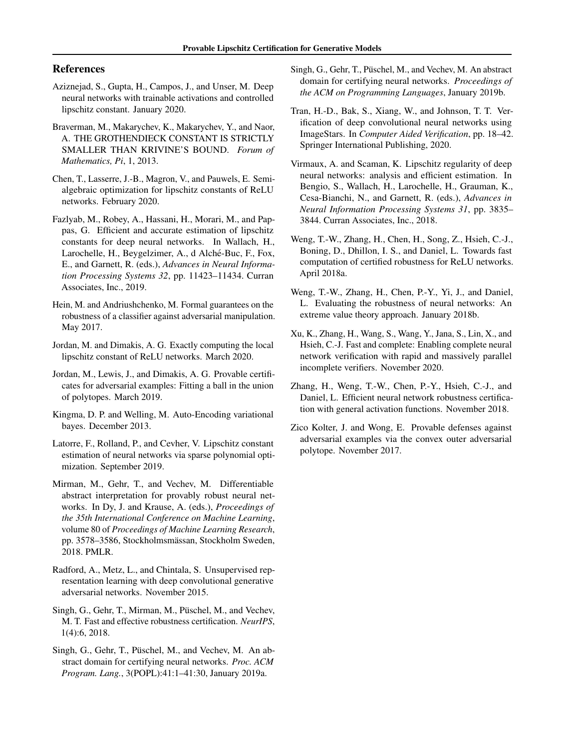## <span id="page-8-0"></span>References

- Aziznejad, S., Gupta, H., Campos, J., and Unser, M. Deep neural networks with trainable activations and controlled lipschitz constant. January 2020.
- Braverman, M., Makarychev, K., Makarychev, Y., and Naor, A. THE GROTHENDIECK CONSTANT IS STRICTLY SMALLER THAN KRIVINE'S BOUND. *Forum of Mathematics, Pi*, 1, 2013.
- Chen, T., Lasserre, J.-B., Magron, V., and Pauwels, E. Semialgebraic optimization for lipschitz constants of ReLU networks. February 2020.
- Fazlyab, M., Robey, A., Hassani, H., Morari, M., and Pappas, G. Efficient and accurate estimation of lipschitz constants for deep neural networks. In Wallach, H., Larochelle, H., Beygelzimer, A., d Alché-Buc, F., Fox, E., and Garnett, R. (eds.), *Advances in Neural Information Processing Systems 32*, pp. 11423–11434. Curran Associates, Inc., 2019.
- Hein, M. and Andriushchenko, M. Formal guarantees on the robustness of a classifier against adversarial manipulation. May 2017.
- Jordan, M. and Dimakis, A. G. Exactly computing the local lipschitz constant of ReLU networks. March 2020.
- Jordan, M., Lewis, J., and Dimakis, A. G. Provable certificates for adversarial examples: Fitting a ball in the union of polytopes. March 2019.
- Kingma, D. P. and Welling, M. Auto-Encoding variational bayes. December 2013.
- Latorre, F., Rolland, P., and Cevher, V. Lipschitz constant estimation of neural networks via sparse polynomial optimization. September 2019.
- Mirman, M., Gehr, T., and Vechev, M. Differentiable abstract interpretation for provably robust neural networks. In Dy, J. and Krause, A. (eds.), *Proceedings of the 35th International Conference on Machine Learning*, volume 80 of *Proceedings of Machine Learning Research*, pp. 3578–3586, Stockholmsmässan, Stockholm Sweden, 2018. PMLR.
- Radford, A., Metz, L., and Chintala, S. Unsupervised representation learning with deep convolutional generative adversarial networks. November 2015.
- Singh, G., Gehr, T., Mirman, M., Püschel, M., and Vechev, M. T. Fast and effective robustness certification. *NeurIPS*, 1(4):6, 2018.
- Singh, G., Gehr, T., Püschel, M., and Vechev, M. An abstract domain for certifying neural networks. *Proc. ACM Program. Lang.*, 3(POPL):41:1–41:30, January 2019a.
- Singh, G., Gehr, T., Püschel, M., and Vechev, M. An abstract domain for certifying neural networks. *Proceedings of the ACM on Programming Languages*, January 2019b.
- Tran, H.-D., Bak, S., Xiang, W., and Johnson, T. T. Verification of deep convolutional neural networks using ImageStars. In *Computer Aided Verification*, pp. 18–42. Springer International Publishing, 2020.
- Virmaux, A. and Scaman, K. Lipschitz regularity of deep neural networks: analysis and efficient estimation. In Bengio, S., Wallach, H., Larochelle, H., Grauman, K., Cesa-Bianchi, N., and Garnett, R. (eds.), *Advances in Neural Information Processing Systems 31*, pp. 3835– 3844. Curran Associates, Inc., 2018.
- Weng, T.-W., Zhang, H., Chen, H., Song, Z., Hsieh, C.-J., Boning, D., Dhillon, I. S., and Daniel, L. Towards fast computation of certified robustness for ReLU networks. April 2018a.
- Weng, T.-W., Zhang, H., Chen, P.-Y., Yi, J., and Daniel, L. Evaluating the robustness of neural networks: An extreme value theory approach. January 2018b.
- Xu, K., Zhang, H., Wang, S., Wang, Y., Jana, S., Lin, X., and Hsieh, C.-J. Fast and complete: Enabling complete neural network verification with rapid and massively parallel incomplete verifiers. November 2020.
- Zhang, H., Weng, T.-W., Chen, P.-Y., Hsieh, C.-J., and Daniel, L. Efficient neural network robustness certification with general activation functions. November 2018.
- Zico Kolter, J. and Wong, E. Provable defenses against adversarial examples via the convex outer adversarial polytope. November 2017.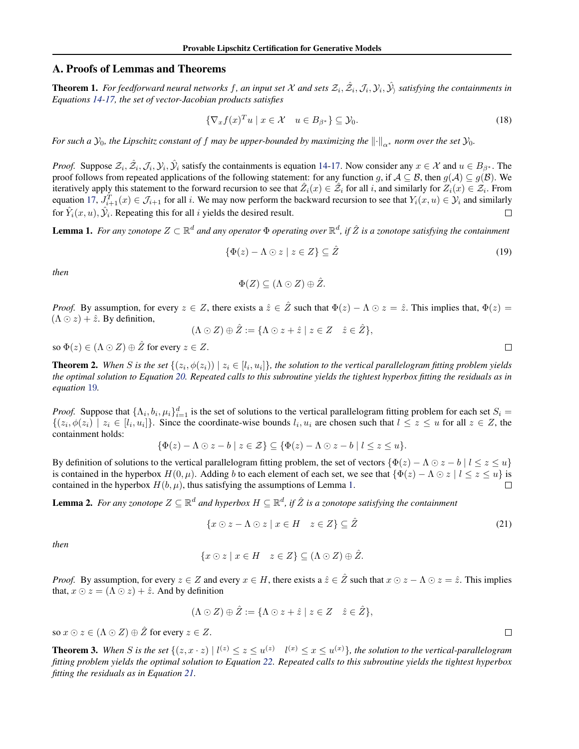### A. Proofs of Lemmas and Theorems

**Theorem 1.** For feedforward neural networks f, an input set X and sets  $\mathcal{Z}_i$ ,  $\hat{\mathcal{Z}_i}$ ,  $\hat{\mathcal{J}_i}$ ,  $\hat{\mathcal{Y}_i}$ , satisfying the containments in *Equations [14-17,](#page-2-0) the set of vector-Jacobian products satisfies*

$$
\{\nabla_x f(x)^T u \mid x \in \mathcal{X} \quad u \in B_{\beta^*}\} \subseteq \mathcal{Y}_0. \tag{18}
$$

*For such a*  $\mathcal{Y}_0$ *, the Lipschitz constant of f may be upper-bounded by maximizing the*  $\|\cdot\|_{\alpha^*}$  *norm over the set*  $\mathcal{Y}_0$ *.* 

*Proof.* Suppose  $\mathcal{Z}_i$ ,  $\hat{\mathcal{Z}}_i$ ,  $\mathcal{J}_i$ ,  $\hat{\mathcal{Y}}_i$  satisfy the containments is equation [14-17.](#page-2-0) Now consider any  $x \in \mathcal{X}$  and  $u \in B_{\beta^*}$ . The proof follows from repeated applications of the following statement: for any function g, if  $A \subseteq B$ , then  $g(A) \subseteq g(B)$ . We iteratively apply this statement to the forward recursion to see that  $\hat{Z}_i(x) \in \hat{Z}_i$  for all i, and similarly for  $Z_i(x) \in \hat{Z}_i$ . From equation [17,](#page-2-0)  $J_{i+1}^T(x) \in \mathcal{J}_{i+1}$  for all i. We may now perform the backward recursion to see that  $Y_i(x, u) \in \mathcal{Y}_i$  and similarly for  $\hat{Y}_i(x, u), \hat{Y}_i$ . Repeating this for all i yields the desired result. П

Lemma 1. For any zonotope  $Z \subset \mathbb{R}^d$  and any operator  $\Phi$  operating over  $\mathbb{R}^d$ , if  $\hat{Z}$  is a zonotope satisfying the containment

$$
\{\Phi(z) - \Lambda \odot z \mid z \in Z\} \subseteq \hat{Z}
$$
\n<sup>(19)</sup>

*then*

$$
\Phi(Z) \subseteq (\Lambda \odot Z) \oplus \hat{Z}.
$$

*Proof.* By assumption, for every  $z \in Z$ , there exists a  $\hat{z} \in \hat{Z}$  such that  $\Phi(z) - \Lambda \odot z = \hat{z}$ . This implies that,  $\Phi(z) =$  $(\Lambda \odot z) + \hat{z}$ . By definition,

$$
(\Lambda \odot Z) \oplus \hat{Z} := \{ \Lambda \odot z + \hat{z} \mid z \in Z \quad \hat{z} \in \hat{Z} \},
$$

so  $\Phi(z) \in (\Lambda \odot Z) \oplus \hat{Z}$  for every  $z \in Z$ .

**Theorem 2.** When S is the set  $\{(z_i, \phi(z_i)) \mid z_i \in [l_i, u_i]\}$ , the solution to the vertical parallelogram fitting problem yields *the optimal solution to Equation [20.](#page-3-0) Repeated calls to this subroutine yields the tightest hyperbox fitting the residuals as in equation* [19](#page-3-0)*.*

*Proof.* Suppose that  $\{\Lambda_i, b_i, \mu_i\}_{i=1}^d$  is the set of solutions to the vertical parallelogram fitting problem for each set  $S_i$  $\{(z_i, \phi(z_i) \mid z_i \in [l_i, u_i]\}\)$ . Since the coordinate-wise bounds  $l_i, u_i$  are chosen such that  $l \leq z \leq u$  for all  $z \in \mathbb{Z}$ , the containment holds:

$$
\{\Phi(z) - \Lambda \odot z - b \mid z \in \mathcal{Z}\} \subseteq \{\Phi(z) - \Lambda \odot z - b \mid l \leq z \leq u\}.
$$

By definition of solutions to the vertical parallelogram fitting problem, the set of vectors  $\{\Phi(z) - \Lambda \odot z - b \mid l \leq z \leq u\}$ is contained in the hyperbox  $H(0, \mu)$ . Adding b to each element of each set, we see that  $\{\Phi(z) - \Lambda \odot z \mid l \leq z \leq u\}$  is contained in the hyperbox  $H(b, \mu)$ , thus satisfying the assumptions of Lemma [1.](#page-3-0)  $\Box$ 

**Lemma 2.** For any zonotope  $Z \subseteq \mathbb{R}^d$  and hyperbox  $H \subseteq \mathbb{R}^d$ , if  $\hat{Z}$  is a zonotope satisfying the containment

$$
\{x \odot z - \Lambda \odot z \mid x \in H \quad z \in Z\} \subseteq \hat{Z}
$$
\n<sup>(21)</sup>

*then*

$$
\{x \odot z \mid x \in H \quad z \in Z\} \subseteq (\Lambda \odot Z) \oplus \hat{Z}.
$$

*Proof.* By assumption, for every  $z \in Z$  and every  $x \in H$ , there exists a  $\hat{z} \in \hat{Z}$  such that  $x \odot z - \Lambda \odot z = \hat{z}$ . This implies that,  $x \odot z = (\Lambda \odot z) + \hat{z}$ . And by definition

$$
(\Lambda \odot Z) \oplus \hat{Z} := \{ \Lambda \odot z + \hat{z} \mid z \in Z \quad \hat{z} \in \hat{Z} \},
$$

so  $x \odot z \in (\Lambda \odot Z) \oplus \hat{Z}$  for every  $z \in Z$ .

**Theorem 3.** When S is the set  $\{(z, x \cdot z) \mid l^{(z)} \le z \le u^{(z)} \mid l^{(x)} \le x \le u^{(x)}\}$ , the solution to the vertical-parallelogram *fitting problem yields the optimal solution to Equation [22.](#page-4-0) Repeated calls to this subroutine yields the tightest hyperbox fitting the residuals as in Equation [21.](#page-4-0)*

 $\Box$ 

 $\Box$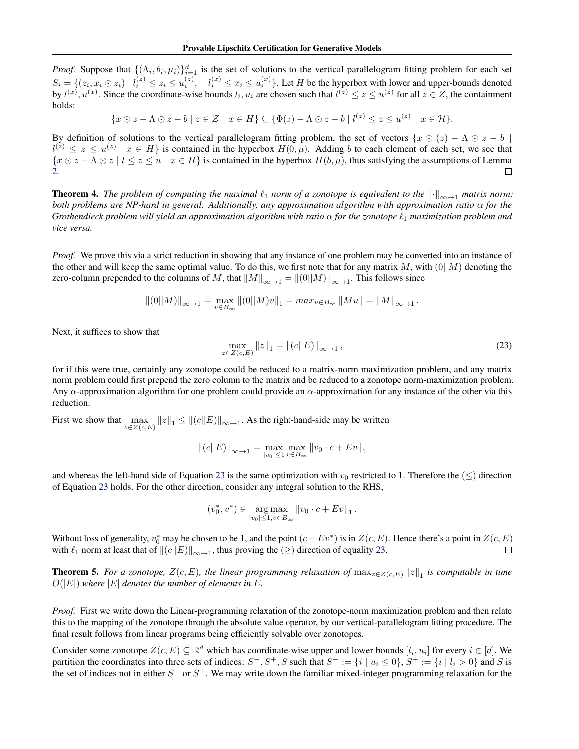*Proof.* Suppose that  $\{(\Lambda_i, b_i, \mu_i)\}_{i=1}^d$  is the set of solutions to the vertical parallelogram fitting problem for each set  $S_i = \{(z_i, x_i \odot z_i) \mid l_i^{(z)} \leq z_i \leq u_i^{(z)}, \quad l_i^{(x)} \leq x_i \leq u_i^{(x)}\}.$  Let H be the hyperbox with lower and upper-bounds denoted by  $l^{(x)}$ ,  $u^{(x)}$ . Since the coordinate-wise bounds  $l_i$ ,  $u_i$  are chosen such that  $l^{(z)} \le z \le u^{(z)}$  for all  $z \in Z$ , the containment holds:

 $\{x \odot z - \Lambda \odot z - b \mid z \in \mathcal{Z} \mid x \in H\} \subseteq \{\Phi(z) - \Lambda \odot z - b \mid l^{(z)} \leq z \leq u^{(z)} \mid x \in \mathcal{H}\}.$ 

By definition of solutions to the vertical parallelogram fitting problem, the set of vectors  $\{x \odot (z) - \Lambda \odot z - b\}$  $l^{(z)} \leq z \leq u^{(z)}$   $x \in H$  is contained in the hyperbox  $H(0, \mu)$ . Adding b to each element of each set, we see that  $\{x \odot z - \Lambda \odot z \mid l \le z \le u \quad x \in H\}$  is contained in the hyperbox  $H(b,\mu)$ , thus satisfying the assumptions of Lemma [2.](#page-4-0)  $\Box$ 

**Theorem 4.** *The problem of computing the maximal*  $\ell_1$  *norm of a zonotope is equivalent to the*  $\|\cdot\|_{\infty\to 1}$  *matrix norm: both problems are NP-hard in general. Additionally, any approximation algorithm with approximation ratio* α *for the Grothendieck problem will yield an approximation algorithm with ratio*  $\alpha$  *for the zonotope*  $\ell_1$  *maximization problem and vice versa.*

*Proof.* We prove this via a strict reduction in showing that any instance of one problem may be converted into an instance of the other and will keep the same optimal value. To do this, we first note that for any matrix M, with  $(0||M)$  denoting the zero-column prepended to the columns of M, that  $||M||_{\infty \to 1} = ||(0||M)||_{\infty \to 1}$ . This follows since

$$
||(0||M)||_{\infty \to 1} = \max_{v \in B_{\infty}} ||(0||M)v||_1 = max_{u \in B_{\infty}} ||Mu|| = ||M||_{\infty \to 1}.
$$

Next, it suffices to show that

$$
\max_{z \in Z(c, E)} ||z||_1 = ||(c||E)||_{\infty \to 1},
$$
\n(23)

for if this were true, certainly any zonotope could be reduced to a matrix-norm maximization problem, and any matrix norm problem could first prepend the zero column to the matrix and be reduced to a zonotope norm-maximization problem. Any  $\alpha$ -approximation algorithm for one problem could provide an  $\alpha$ -approximation for any instance of the other via this reduction.

First we show that  $\max_{z \in Z(c,E)} ||z||_1 \le ||(c||E)||_{\infty \to 1}$ . As the right-hand-side may be written

$$
||(c||E)||_{\infty \to 1} = \max_{|v_0| \le 1} \max_{v \in B_{\infty}} ||v_0 \cdot c + Ev||_1
$$

and whereas the left-hand side of Equation 23 is the same optimization with  $v_0$  restricted to 1. Therefore the  $(\leq)$  direction of Equation 23 holds. For the other direction, consider any integral solution to the RHS,

$$
(v_0^*, v^*) \in \underset{|v_0| \le 1, v \in B_{\infty}}{\arg \max} ||v_0 \cdot c + Ev||_1.
$$

Without loss of generality,  $v_0^*$  may be chosen to be 1, and the point  $(c + Ev^*)$  is in  $Z(c, E)$ . Hence there's a point in  $Z(c, E)$ with  $\ell_1$  norm at least that of  $||(c||E)||_{\infty \to 1}$ , thus proving the  $(\ge)$  direction of equality 23. П

**Theorem 5.** For a zonotope,  $Z(c, E)$ , the linear programming relaxation of  $\max_{z \in Z(c, E)} ||z||_1$  is computable in time  $O(|E|)$  where  $|E|$  denotes the number of elements in E.

*Proof.* First we write down the Linear-programming relaxation of the zonotope-norm maximization problem and then relate this to the mapping of the zonotope through the absolute value operator, by our vertical-parallelogram fitting procedure. The final result follows from linear programs being efficiently solvable over zonotopes.

Consider some zonotope  $Z(c, E) \subseteq \mathbb{R}^d$  which has coordinate-wise upper and lower bounds  $[l_i, u_i]$  for every  $i \in [d]$ . We partition the coordinates into three sets of indices:  $S^-, S^+, S$  such that  $S^- := \{i \mid u_i \leq 0\}$ ,  $S^+ := \{i \mid l_i > 0\}$  and S is the set of indices not in either  $S^-$  or  $S^+$ . We may write down the familiar mixed-integer programming relaxation for the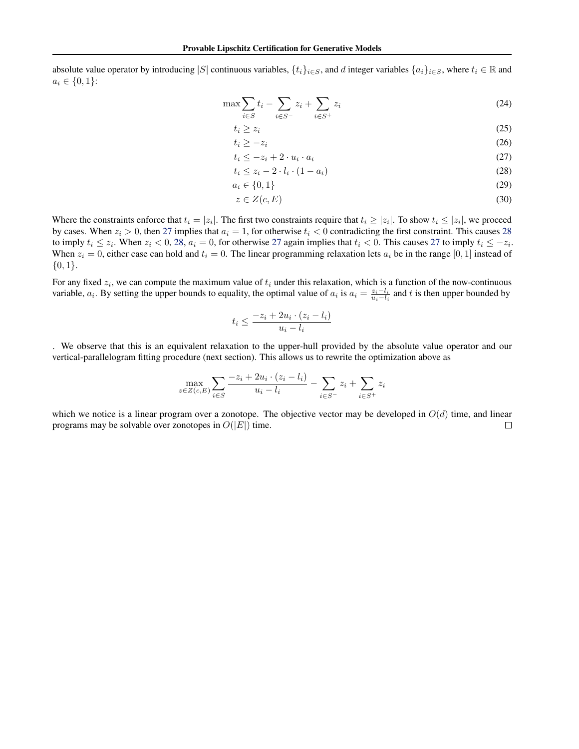absolute value operator by introducing |S| continuous variables,  $\{t_i\}_{i\in S}$ , and d integer variables  $\{a_i\}_{i\in S}$ , where  $t_i \in \mathbb{R}$  and  $a_i \in \{0, 1\}$ :

$$
\max \sum_{i \in S} t_i - \sum_{i \in S^-} z_i + \sum_{i \in S^+} z_i \tag{24}
$$

$$
t_i \ge z_i \tag{25}
$$

$$
t_i \geq -z_i \tag{26}
$$

$$
t_i \le -z_i + 2 \cdot u_i \cdot a_i \tag{27}
$$

$$
t_i \le z_i - 2 \cdot l_i \cdot (1 - a_i) \tag{28}
$$

$$
a_i \in \{0, 1\} \tag{29}
$$

$$
z \in Z(c, E) \tag{30}
$$

Where the constraints enforce that  $t_i = |z_i|$ . The first two constraints require that  $t_i \ge |z_i|$ . To show  $t_i \le |z_i|$ , we proceed by cases. When  $z_i > 0$ , then 27 implies that  $a_i = 1$ , for otherwise  $t_i < 0$  contradicting the first constraint. This causes 28 to imply  $t_i \leq z_i$ . When  $z_i < 0$ , 28,  $a_i = 0$ , for otherwise 27 again implies that  $t_i < 0$ . This causes 27 to imply  $t_i \leq -z_i$ . When  $z_i = 0$ , either case can hold and  $t_i = 0$ . The linear programming relaxation lets  $a_i$  be in the range [0, 1] instead of  ${0,1}.$ 

For any fixed  $z_i$ , we can compute the maximum value of  $t_i$  under this relaxation, which is a function of the now-continuous variable,  $a_i$ . By setting the upper bounds to equality, the optimal value of  $a_i$  is  $a_i = \frac{z_i - l_i}{u_i - l_i}$  and t is then upper bounded by

$$
t_i \le \frac{-z_i + 2u_i \cdot (z_i - l_i)}{u_i - l_i}
$$

. We observe that this is an equivalent relaxation to the upper-hull provided by the absolute value operator and our vertical-parallelogram fitting procedure (next section). This allows us to rewrite the optimization above as

$$
\max_{z \in Z(c,E)} \sum_{i \in S} \frac{-z_i + 2u_i \cdot (z_i - l_i)}{u_i - l_i} - \sum_{i \in S^-} z_i + \sum_{i \in S^+} z_i
$$

which we notice is a linear program over a zonotope. The objective vector may be developed in  $O(d)$  time, and linear programs may be solvable over zonotopes in  $O(|E|)$  time.  $\Box$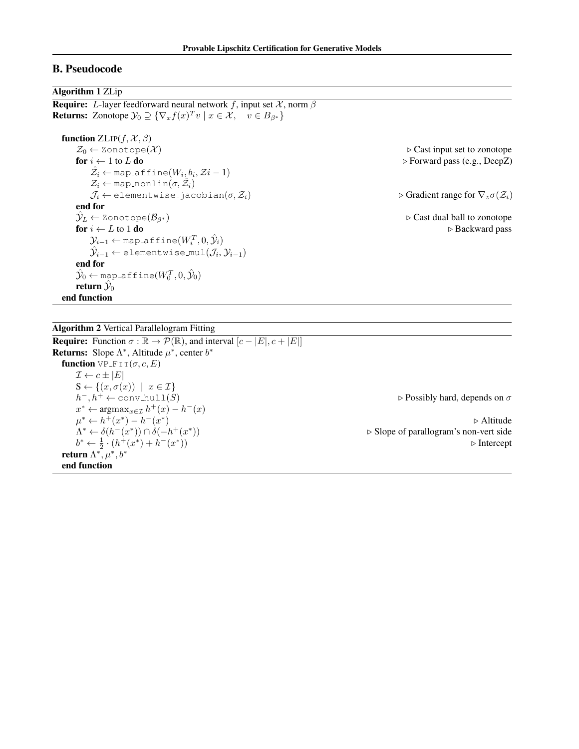## B. Pseudocode

### Algorithm 1 ZLip

**Require:** L-layer feedforward neural network f, input set  $\mathcal{X}$ , norm  $\beta$ **Returns:** Zonotope  $\mathcal{Y}_0 \supseteq {\nabla_x f(x)^T v \mid x \in \mathcal{X}, \quad v \in B_{\beta^*}}$ function  $ZLIP(f, \mathcal{X}, \beta)$  $Z_0 \leftarrow$  Zonotope $(\mathcal{X})$ <br> **Solonomial**  $\triangleright$  Cast input set to zonotope<br> **Solonomial**  $\triangleright$  Forward pass (e.g., DeepZ)  $▶$  Forward pass (e.g., DeepZ)  $\hat{\mathcal{Z}_i} \leftarrow$  map\_affine $(W_i, b_i, \mathcal{Z}{i-1})$  $\mathcal{Z}_i \leftarrow \texttt{map\_nonlin}(\sigma, \hat{\mathcal{Z}}_i)$  $\mathcal{J}_i \leftarrow$  elementwise jacobian $(\sigma, \mathcal{Z}_i)$  . Gradient range for  $\nabla_z \sigma(\mathcal{Z}_i)$ end for  $\hat{\mathcal{Y}}_L \leftarrow$  Zonotope $(\mathcal{B}_{\beta^*})$  .  $\triangleright$  Cast dual ball to zonotope for  $i \leftarrow L$  to 1 do  $\rightarrow$  Backward pass  $\mathcal{Y}_{i-1} \leftarrow$  map\_affine $(W_i^T, 0, \hat{\mathcal{Y}}_i)$  $\hat{\mathcal{Y}}_{i-1} \leftarrow \text{\texttt{elementwise}}{ \mathbb{I}(\mathcal{J}_i, \mathcal{Y}_{i-1}) }$ end for  $\hat{\mathcal{Y}}_0 \leftarrow$  map\_affine $(W^T_0, 0, \hat{\mathcal{Y}}_0)$ return  $\hat{\mathcal{Y}}_0$ end function

Algorithm 2 Vertical Parallelogram Fitting

**Require:** Function  $\sigma : \mathbb{R} \to \mathcal{P}(\mathbb{R})$ , and interval  $[c - |E|, c + |E|]$ **Returns:** Slope  $\Lambda^*$ , Altitude  $\mu^*$ , center  $b^*$ function VP  $F I T(\sigma, c, E)$  $\mathcal{I} \leftarrow c \pm |E|$  $S \leftarrow \{(x, \sigma(x)) \mid x \in \mathcal{I}\}\$  $h^-, h^+ \leftarrow \text{conv\_hull}(S)$  $\rhd$  Possibly hard, depends on σ  $x^* \leftarrow \operatorname{argmax}_{x \in \mathcal{I}} h^+(x) - h^-(x)$  $\mu^* \leftarrow h^+(x^*) - h^-(x^*)$ ) by  $\triangleright$  Altitude  $\Lambda^* \leftarrow \delta(h^-(x^*)) \cap \delta(-h^+(x^*))$  $\triangleright$  Slope of parallogram's non-vert side  $b^* \leftarrow \frac{1}{2} \cdot (h^+(x^*) + h^-(x^*)$  $\triangleright$  Intercept return  $\Lambda^*,\mu^*,b^*$ end function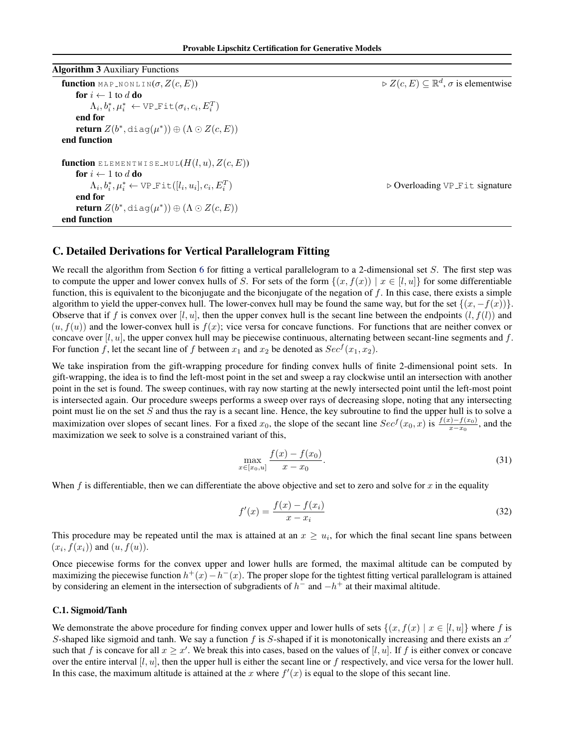<span id="page-13-0"></span>

| <b>Algorithm 3</b> Auxiliary Functions                                        |                                                                           |
|-------------------------------------------------------------------------------|---------------------------------------------------------------------------|
| <b>function</b> MAP_NONLIN $(\sigma, Z(c, E))$                                | $\triangleright Z(c, E) \subseteq \mathbb{R}^d$ , $\sigma$ is elementwise |
| for $i \leftarrow 1$ to d do                                                  |                                                                           |
| $\Lambda_i, b_i^*, \mu_i^* \leftarrow \text{VP\_Fit}(\sigma_i, c_i, E_i^T)$   |                                                                           |
| end for                                                                       |                                                                           |
| <b>return</b> $Z(b^*, \text{diag}(\mu^*)) \oplus (\Lambda \odot Z(c, E))$     |                                                                           |
| end function                                                                  |                                                                           |
| <b>function</b> ELEMENTWISE_MUL $(H(l, u), Z(c, E))$                          |                                                                           |
| for $i \leftarrow 1$ to d do                                                  |                                                                           |
| $\Lambda_i, b_i^*, \mu_i^* \leftarrow \text{VP\_Fit}([l_i, u_i], c_i, E_i^T)$ | ▷ Overloading VP_Fit signature                                            |
| end for                                                                       |                                                                           |
| <b>return</b> $Z(b^*, \text{diag}(\mu^*)) \oplus (\Lambda \odot Z(c, E))$     |                                                                           |
| end function                                                                  |                                                                           |

## C. Detailed Derivations for Vertical Parallelogram Fitting

We recall the algorithm from Section [6](#page-4-0) for fitting a vertical parallelogram to a 2-dimensional set  $S$ . The first step was to compute the upper and lower convex hulls of S. For sets of the form  $\{(x, f(x)) | x \in [l, u]\}$  for some differentiable function, this is equivalent to the biconjugate and the biconjugate of the negation of  $f$ . In this case, there exists a simple algorithm to yield the upper-convex hull. The lower-convex hull may be found the same way, but for the set  $\{(x, -f(x))\}$ . Observe that if f is convex over  $[l, u]$ , then the upper convex hull is the secant line between the endpoints  $(l, f(l))$  and  $(u, f(u))$  and the lower-convex hull is  $f(x)$ ; vice versa for concave functions. For functions that are neither convex or concave over  $[l, u]$ , the upper convex hull may be piecewise continuous, alternating between secant-line segments and f. For function f, let the secant line of f between  $x_1$  and  $x_2$  be denoted as  $Sec^{f}(x_1, x_2)$ .

We take inspiration from the gift-wrapping procedure for finding convex hulls of finite 2-dimensional point sets. In gift-wrapping, the idea is to find the left-most point in the set and sweep a ray clockwise until an intersection with another point in the set is found. The sweep continues, with ray now starting at the newly intersected point until the left-most point is intersected again. Our procedure sweeps performs a sweep over rays of decreasing slope, noting that any intersecting point must lie on the set  $S$  and thus the ray is a secant line. Hence, the key subroutine to find the upper hull is to solve a maximization over slopes of secant lines. For a fixed  $x_0$ , the slope of the secant line  $Sec^{f}(x_0, x)$  is  $\frac{f(x)-f(x_0)}{x-x_0}$ , and the maximization we seek to solve is a constrained variant of this,

$$
\max_{x \in [x_0, u]} \frac{f(x) - f(x_0)}{x - x_0}.
$$
\n(31)

When  $f$  is differentiable, then we can differentiate the above objective and set to zero and solve for  $x$  in the equality

$$
f'(x) = \frac{f(x) - f(x_i)}{x - x_i}
$$
 (32)

This procedure may be repeated until the max is attained at an  $x \geq u_i$ , for which the final secant line spans between  $(x_i, f(x_i))$  and  $(u, f(u))$ .

Once piecewise forms for the convex upper and lower hulls are formed, the maximal altitude can be computed by maximizing the piecewise function  $h^+(x) - h^-(x)$ . The proper slope for the tightest fitting vertical parallelogram is attained by considering an element in the intersection of subgradients of  $h^-$  and  $-h^+$  at their maximal altitude.

### C.1. Sigmoid/Tanh

We demonstrate the above procedure for finding convex upper and lower hulls of sets  $\{(x, f(x) | x \in [l, u]\}$  where f is S-shaped like sigmoid and tanh. We say a function  $f$  is S-shaped if it is monotonically increasing and there exists an  $x'$ such that f is concave for all  $x \geq x'$ . We break this into cases, based on the values of [l, u]. If f is either convex or concave over the entire interval  $[l, u]$ , then the upper hull is either the secant line or  $f$  respectively, and vice versa for the lower hull. In this case, the maximum altitude is attained at the x where  $f'(x)$  is equal to the slope of this secant line.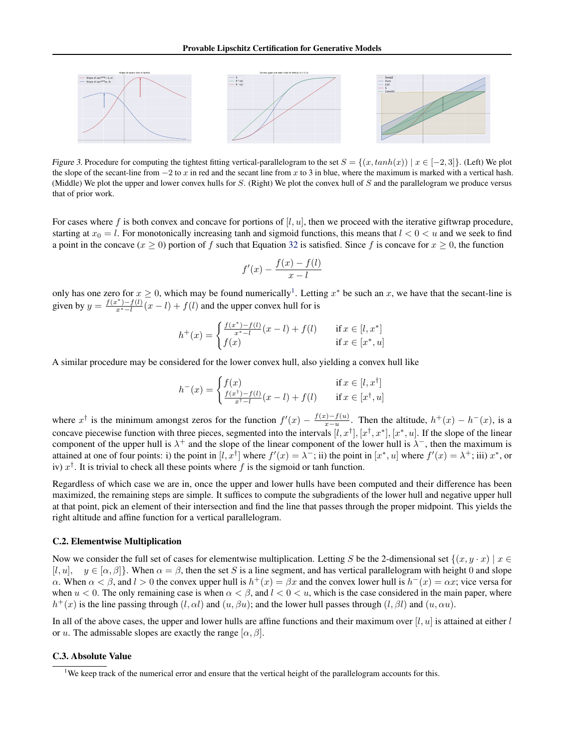

Figure 3. Procedure for computing the tightest fitting vertical-parallelogram to the set  $S = \{(x, tanh(x)) \mid x \in [-2, 3]\}$ . (Left) We plot the slope of the secant-line from  $-2$  to x in red and the secant line from x to 3 in blue, where the maximum is marked with a vertical hash. (Middle) We plot the upper and lower convex hulls for  $S$ . (Right) We plot the convex hull of  $S$  and the parallelogram we produce versus that of prior work.

For cases where f is both convex and concave for portions of  $[l, u]$ , then we proceed with the iterative giftwrap procedure, starting at  $x_0 = l$ . For monotonically increasing tanh and sigmoid functions, this means that  $l < 0 < u$  and we seek to find a point in the concave  $(x \ge 0)$  portion of f such that Equation [32](#page-13-0) is satisfied. Since f is concave for  $x \ge 0$ , the function

$$
f'(x) - \frac{f(x) - f(l)}{x - l}
$$

only has one zero for  $x \ge 0$ , which may be found numerically<sup>1</sup>. Letting  $x^*$  be such an x, we have that the secant-line is given by  $y = \frac{f(x^*) - f(l)}{x^* - l}(x - l) + f(l)$  and the upper convex hull for is

$$
h^{+}(x) = \begin{cases} \frac{f(x^{*}) - f(l)}{x^{*} - l}(x - l) + f(l) & \text{if } x \in [l, x^{*}]\\ f(x) & \text{if } x \in [x^{*}, u] \end{cases}
$$

A similar procedure may be considered for the lower convex hull, also yielding a convex hull like

$$
h^{-}(x) = \begin{cases} f(x) & \text{if } x \in [l, x^{\dagger}] \\ \frac{f(x^{\dagger}) - f(l)}{x^{\dagger} - l}(x - l) + f(l) & \text{if } x \in [x^{\dagger}, u] \end{cases}
$$

where  $x^{\dagger}$  is the minimum amongst zeros for the function  $f'(x) - \frac{f(x) - f(u)}{x - u}$  $\frac{x(x)-f(u)}{x-u}$ . Then the altitude,  $h^+(x) - h^-(x)$ , is a concave piecewise function with three pieces, segmented into the intervals  $[l, x^{\dagger}], [x^{\dagger}, x^{\dagger}], [x^{\dagger}, u]$ . If the slope of the linear component of the upper hull is  $\lambda^+$  and the slope of the linear component of the lower hull is  $\lambda^-$ , then the maximum is attained at one of four points: i) the point in  $[l, x^{\dagger}]$  where  $f'(x) = \lambda^{-}$ ; ii) the point in  $[x^*, u]$  where  $f'(x) = \lambda^{+}$ ; iii)  $x^*$ , or iv)  $x^{\dagger}$ . It is trivial to check all these points where f is the sigmoid or tanh function.

Regardless of which case we are in, once the upper and lower hulls have been computed and their difference has been maximized, the remaining steps are simple. It suffices to compute the subgradients of the lower hull and negative upper hull at that point, pick an element of their intersection and find the line that passes through the proper midpoint. This yields the right altitude and affine function for a vertical parallelogram.

### C.2. Elementwise Multiplication

Now we consider the full set of cases for elementwise multiplication. Letting S be the 2-dimensional set  $\{(x, y \cdot x) | x \in$  $[l, u], y \in [\alpha, \beta]$ . When  $\alpha = \beta$ , then the set S is a line segment, and has vertical parallelogram with height 0 and slope  $\alpha$ . When  $\alpha < \beta$ , and  $l > 0$  the convex upper hull is  $h^+(x) = \beta x$  and the convex lower hull is  $h^-(x) = \alpha x$ ; vice versa for when  $u < 0$ . The only remaining case is when  $\alpha < \beta$ , and  $l < 0 < u$ , which is the case considered in the main paper, where  $h^+(x)$  is the line passing through  $(l, \alpha l)$  and  $(u, \beta u)$ ; and the lower hull passes through  $(l, \beta l)$  and  $(u, \alpha u)$ .

In all of the above cases, the upper and lower hulls are affine functions and their maximum over  $[l, u]$  is attained at either l or u. The admissable slopes are exactly the range  $[\alpha, \beta]$ .

### C.3. Absolute Value

<sup>&</sup>lt;sup>1</sup>We keep track of the numerical error and ensure that the vertical height of the parallelogram accounts for this.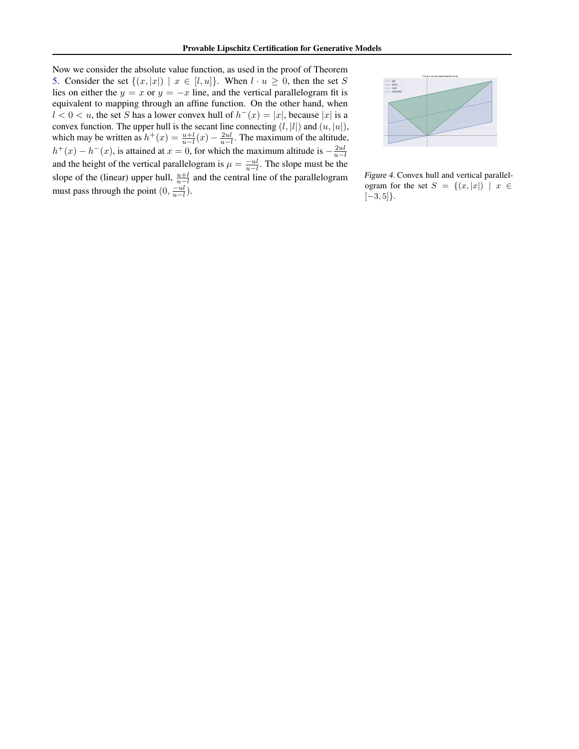Now we consider the absolute value function, as used in the proof of Theorem [5.](#page-6-0) Consider the set  $\{(x, |x|) | x \in [l, u]\}$ . When  $l \cdot u \geq 0$ , then the set S lies on either the  $y = x$  or  $y = -x$  line, and the vertical parallelogram fit is equivalent to mapping through an affine function. On the other hand, when  $l < 0 < u$ , the set S has a lower convex hull of  $h^{-}(x) = |x|$ , because |x| is a convex function. The upper hull is the secant line connecting  $(l, |l|)$  and  $(u, |u|)$ , which may be written as  $h^+(x) = \frac{u+l}{u-l}(x) - \frac{2ul}{u-l}$ . The maximum of the altitude,  $h^+(x) - h^-(x)$ , is attained at  $x = 0$ , for which the maximum altitude is  $-\frac{2ul}{u-l}$ and the height of the vertical parallelogram is  $\mu = \frac{-u}{u-l}$ . The slope must be the slope of the (linear) upper hull,  $\frac{u+l}{u-l}$  and the central line of the parallelogram must pass through the point  $(0, \frac{-ul}{u-l})$ .



Figure 4. Convex hull and vertical parallelogram for the set  $S = \{(x, |x|) | x \in$  $[-3, 5]$ .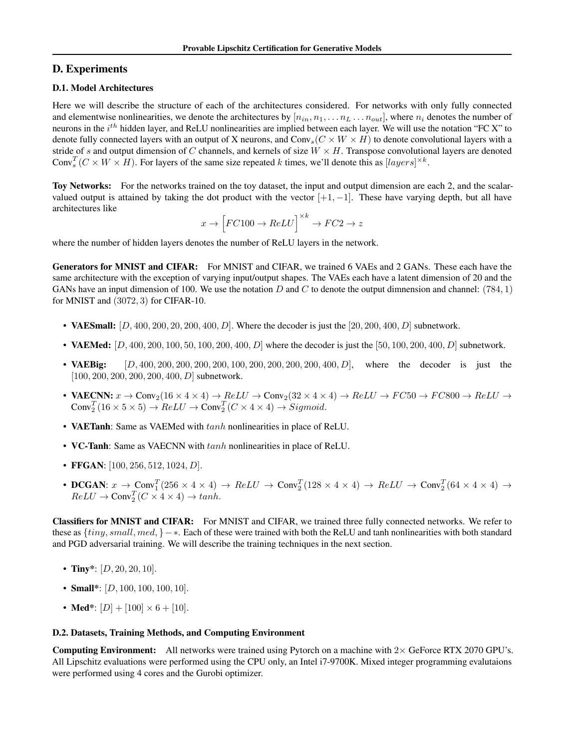## D. Experiments

## D.1. Model Architectures

Here we will describe the structure of each of the architectures considered. For networks with only fully connected and elementwise nonlinearities, we denote the architectures by  $[n_{in}, n_1, \ldots n_L \ldots n_{out}]$ , where  $n_i$  denotes the number of neurons in the  $i^{th}$  hidden layer, and ReLU nonlinearities are implied between each layer. We will use the notation "FC X" to denote fully connected layers with an output of X neurons, and  $Conv_s(C \times W \times H)$  to denote convolutional layers with a stride of s and output dimension of C channels, and kernels of size  $W \times H$ . Transpose convolutional layers are denoted Conv<sub>s</sub><sup>T</sup>( $C \times W \times H$ ). For layers of the same size repeated k times, we'll denote this as [layers]<sup> $\times k$ </sup>.

Toy Networks: For the networks trained on the toy dataset, the input and output dimension are each 2, and the scalarvalued output is attained by taking the dot product with the vector  $[+1, -1]$ . These have varying depth, but all have architectures like

$$
x \rightarrow \left[FC100 \rightarrow ReLU\right] ^{\times k} \rightarrow FC2 \rightarrow z
$$

where the number of hidden layers denotes the number of ReLU layers in the network.

Generators for MNIST and CIFAR: For MNIST and CIFAR, we trained 6 VAEs and 2 GANs. These each have the same architecture with the exception of varying input/output shapes. The VAEs each have a latent dimension of 20 and the GANs have an input dimension of 100. We use the notation D and C to denote the output dimnension and channel: (784, 1) for MNIST and (3072, 3) for CIFAR-10.

- VAESmall:  $[D, 400, 200, 200, 200, 400, D]$ . Where the decoder is just the  $[20, 200, 400, D]$  subnetwork.
- VAEMed:  $[D, 400, 200, 100, 50, 100, 200, 400, D]$  where the decoder is just the  $[50, 100, 200, 400, D]$  subnetwork.
- VAEBig: [D, 400, 200, 200, 200, 200, 100, 200, 200, 200, 200, 400, D], where the decoder is just the  $[100, 200, 200, 200, 200, 400, D]$  subnetwork.
- **VAECNN:**  $x \to \text{Conv}_2(16 \times 4 \times 4) \to ReLU \to \text{Conv}_2(32 \times 4 \times 4) \to ReLU \to FC50 \to FC800 \to ReLU \to$  $Conv_2^T(16 \times 5 \times 5) \rightarrow ReLU \rightarrow Conv_2^T(C \times 4 \times 4) \rightarrow Sigmoid.$
- VAETanh: Same as VAEMed with  $tanh$  nonlinearities in place of ReLU.
- VC-Tanh: Same as VAECNN with  $tanh$  nonlinearities in place of ReLU.
- FFGAN:  $[100, 256, 512, 1024, D]$ .
- DCGAN:  $x \to \text{Conv}_1^T (256 \times 4 \times 4) \to ReLU \to \text{Conv}_2^T (128 \times 4 \times 4) \to ReLU \to \text{Conv}_2^T (64 \times 4 \times 4) \to$  $ReLU \rightarrow Conv_2^T(C \times 4 \times 4) \rightarrow tanh.$

Classifiers for MNIST and CIFAR: For MNIST and CIFAR, we trained three fully connected networks. We refer to these as {tiny, small, med, }− ∗. Each of these were trained with both the ReLU and tanh nonlinearities with both standard and PGD adversarial training. We will describe the training techniques in the next section.

- Tiny\*:  $[D, 20, 20, 10]$ .
- Small\*:  $[D, 100, 100, 100, 10]$ .
- Med\*:  $[D] + [100] \times 6 + [10]$ .

### D.2. Datasets, Training Methods, and Computing Environment

**Computing Environment:** All networks were trained using Pytorch on a machine with  $2 \times$  GeForce RTX 2070 GPU's. All Lipschitz evaluations were performed using the CPU only, an Intel i7-9700K. Mixed integer programming evalutaions were performed using 4 cores and the Gurobi optimizer.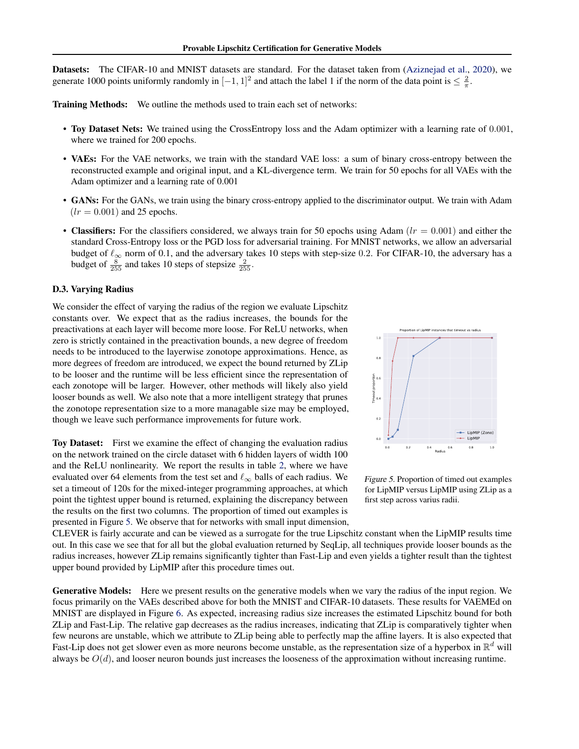Datasets: The CIFAR-10 and MNIST datasets are standard. For the dataset taken from [\(Aziznejad et al.,](#page-8-0) [2020\)](#page-8-0), we generate 1000 points uniformly randomly in  $[-1, 1]^2$  and attach the label 1 if the norm of the data point is  $\leq \frac{2}{\pi}$ .

Training Methods: We outline the methods used to train each set of networks:

- Toy Dataset Nets: We trained using the CrossEntropy loss and the Adam optimizer with a learning rate of 0.001, where we trained for 200 epochs.
- VAEs: For the VAE networks, we train with the standard VAE loss: a sum of binary cross-entropy between the reconstructed example and original input, and a KL-divergence term. We train for 50 epochs for all VAEs with the Adam optimizer and a learning rate of 0.001
- GANs: For the GANs, we train using the binary cross-entropy applied to the discriminator output. We train with Adam  $(lr = 0.001)$  and 25 epochs.
- Classifiers: For the classifiers considered, we always train for 50 epochs using Adam  $(lr = 0.001)$  and either the standard Cross-Entropy loss or the PGD loss for adversarial training. For MNIST networks, we allow an adversarial budget of  $\ell_{\infty}$  norm of 0.1, and the adversary takes 10 steps with step-size 0.2. For CIFAR-10, the adversary has a budget of  $\frac{8}{255}$  and takes 10 steps of stepsize  $\frac{2}{255}$ .

### D.3. Varying Radius

We consider the effect of varying the radius of the region we evaluate Lipschitz constants over. We expect that as the radius increases, the bounds for the preactivations at each layer will become more loose. For ReLU networks, when zero is strictly contained in the preactivation bounds, a new degree of freedom needs to be introduced to the layerwise zonotope approximations. Hence, as more degrees of freedom are introduced, we expect the bound returned by ZLip to be looser and the runtime will be less efficient since the representation of each zonotope will be larger. However, other methods will likely also yield looser bounds as well. We also note that a more intelligent strategy that prunes the zonotope representation size to a more managable size may be employed, though we leave such performance improvements for future work.

Toy Dataset: First we examine the effect of changing the evaluation radius on the network trained on the circle dataset with 6 hidden layers of width 100 and the ReLU nonlinearity. We report the results in table [2,](#page-18-0) where we have evaluated over 64 elements from the test set and  $\ell_{\infty}$  balls of each radius. We set a timeout of 120s for the mixed-integer programming approaches, at which point the tightest upper bound is returned, explaining the discrepancy between the results on the first two columns. The proportion of timed out examples is presented in Figure 5. We observe that for networks with small input dimension,



Figure 5. Proportion of timed out examples for LipMIP versus LipMIP using ZLip as a first step across varius radii.

CLEVER is fairly accurate and can be viewed as a surrogate for the true Lipschitz constant when the LipMIP results time out. In this case we see that for all but the global evaluation returned by SeqLip, all techniques provide looser bounds as the radius increases, however ZLip remains significantly tighter than Fast-Lip and even yields a tighter result than the tightest upper bound provided by LipMIP after this procedure times out.

Generative Models: Here we present results on the generative models when we vary the radius of the input region. We focus primarily on the VAEs described above for both the MNIST and CIFAR-10 datasets. These results for VAEMEd on MNIST are displayed in Figure [6.](#page-18-0) As expected, increasing radius size increases the estimated Lipschitz bound for both ZLip and Fast-Lip. The relative gap decreases as the radius increases, indicating that ZLip is comparatively tighter when few neurons are unstable, which we attribute to ZLip being able to perfectly map the affine layers. It is also expected that Fast-Lip does not get slower even as more neurons become unstable, as the representation size of a hyperbox in  $\mathbb{R}^d$  will always be  $O(d)$ , and looser neuron bounds just increases the looseness of the approximation without increasing runtime.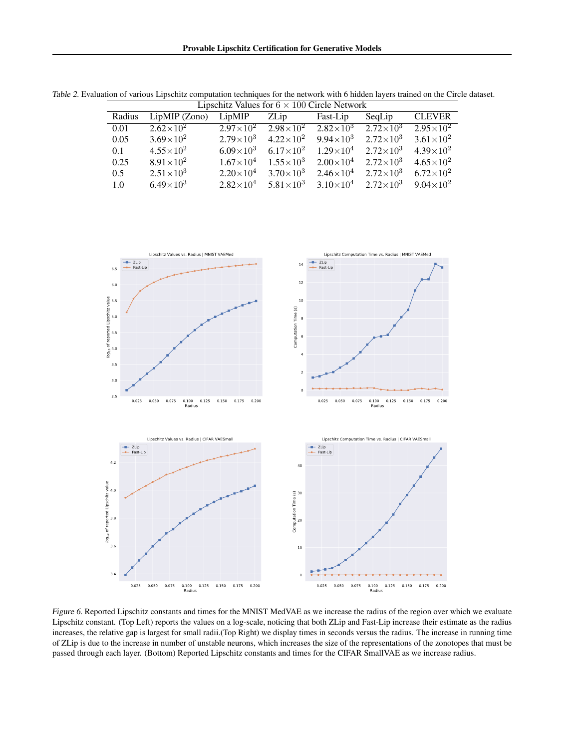| Radius | $LipMIP$ (Zono)    | LipMIP               | ZLip                                                     | Fast-Lip                          | SeqLip                                | <b>CLEVER</b>        |
|--------|--------------------|----------------------|----------------------------------------------------------|-----------------------------------|---------------------------------------|----------------------|
| 0.01   | $2.62\times10^{2}$ | $2.97 \times 10^{2}$ | $2.98\times10^{2}$ $2.82\times10^{3}$ $2.72\times10^{3}$ |                                   |                                       | $2.95 \times 10^{2}$ |
| 0.05   | $3.69\times10^{2}$ | $2.79\times10^{3}$   | $4.22\times10^{2}$                                       |                                   | $9.94 \times 10^3$ $2.72 \times 10^3$ | $3.61\times10^{2}$   |
| 0.1    | $4.55\times10^{2}$ | $6.09\times10^{3}$   | $6.17\times10^{2}$                                       | $1.29\times10^4$ $2.72\times10^3$ |                                       | $4.39 \times 10^{2}$ |
| 0.25   | $8.91\times10^{2}$ | $1.67\times10^{4}$   | $1.55\times10^{3}$                                       | $2.00\times10^4$ $2.72\times10^3$ |                                       | $4.65 \times 10^{2}$ |
| 0.5    | $2.51\times10^{3}$ | $2.20\times10^{4}$   | $3.70\times10^{3}$                                       | $2.46\times10^4$ $2.72\times10^3$ |                                       | $6.72\times10^{2}$   |
| 1.0    | $6.49\times10^{3}$ | $2.82\times10^{4}$   | $5.81\times10^{3}$                                       |                                   | $3.10\times10^4$ $2.72\times10^3$     | $9.04 \times 10^{2}$ |

<span id="page-18-0"></span>Table 2. Evaluation of various Lipschitz computation techniques for the network with 6 hidden layers trained on the Circle dataset. Lipschitz Values for  $6 \times 100$  Circle Network



Figure 6. Reported Lipschitz constants and times for the MNIST MedVAE as we increase the radius of the region over which we evaluate Lipschitz constant. (Top Left) reports the values on a log-scale, noticing that both ZLip and Fast-Lip increase their estimate as the radius increases, the relative gap is largest for small radii.(Top Right) we display times in seconds versus the radius. The increase in running time of ZLip is due to the increase in number of unstable neurons, which increases the size of the representations of the zonotopes that must be passed through each layer. (Bottom) Reported Lipschitz constants and times for the CIFAR SmallVAE as we increase radius.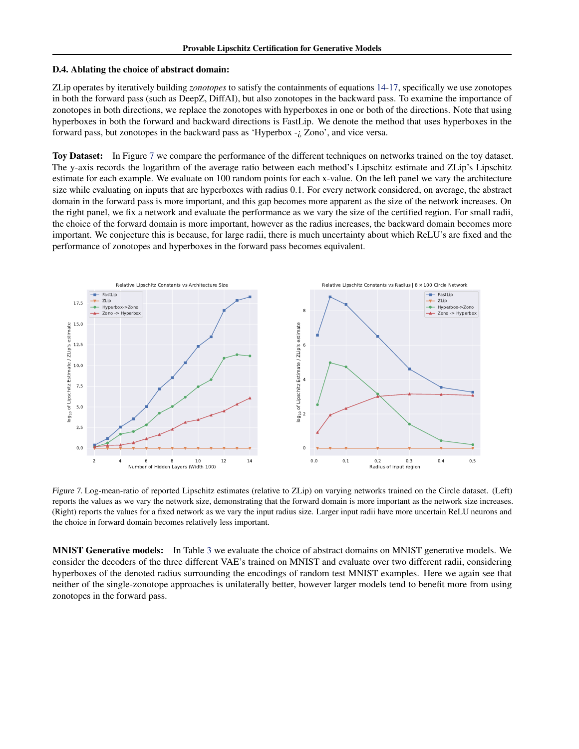#### D.4. Ablating the choice of abstract domain:

ZLip operates by iteratively building *zonotopes* to satisfy the containments of equations [14-17,](#page-2-0) specifically we use zonotopes in both the forward pass (such as DeepZ, DiffAI), but also zonotopes in the backward pass. To examine the importance of zonotopes in both directions, we replace the zonotopes with hyperboxes in one or both of the directions. Note that using hyperboxes in both the forward and backward directions is FastLip. We denote the method that uses hyperboxes in the forward pass, but zonotopes in the backward pass as 'Hyperbox -¿ Zono', and vice versa.

Toy Dataset: In Figure 7 we compare the performance of the different techniques on networks trained on the toy dataset. The y-axis records the logarithm of the average ratio between each method's Lipschitz estimate and ZLip's Lipschitz estimate for each example. We evaluate on 100 random points for each x-value. On the left panel we vary the architecture size while evaluating on inputs that are hyperboxes with radius 0.1. For every network considered, on average, the abstract domain in the forward pass is more important, and this gap becomes more apparent as the size of the network increases. On the right panel, we fix a network and evaluate the performance as we vary the size of the certified region. For small radii, the choice of the forward domain is more important, however as the radius increases, the backward domain becomes more important. We conjecture this is because, for large radii, there is much uncertainty about which ReLU's are fixed and the performance of zonotopes and hyperboxes in the forward pass becomes equivalent.



Figure 7. Log-mean-ratio of reported Lipschitz estimates (relative to ZLip) on varying networks trained on the Circle dataset. (Left) reports the values as we vary the network size, demonstrating that the forward domain is more important as the network size increases. (Right) reports the values for a fixed network as we vary the input radius size. Larger input radii have more uncertain ReLU neurons and the choice in forward domain becomes relatively less important.

MNIST Generative models: In Table [3](#page-20-0) we evaluate the choice of abstract domains on MNIST generative models. We consider the decoders of the three different VAE's trained on MNIST and evaluate over two different radii, considering hyperboxes of the denoted radius surrounding the encodings of random test MNIST examples. Here we again see that neither of the single-zonotope approaches is unilaterally better, however larger models tend to benefit more from using zonotopes in the forward pass.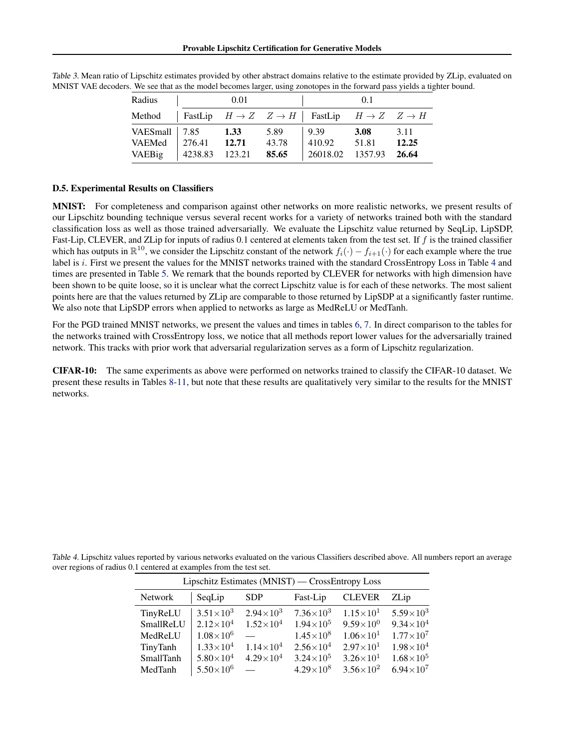| Radius                                                  |                     | 0.01 |                        |                                                                   | 0 <sub>1</sub> |                        |
|---------------------------------------------------------|---------------------|------|------------------------|-------------------------------------------------------------------|----------------|------------------------|
| Method                                                  |                     |      |                        | FastLip $H \to Z \quad Z \to H$   FastLip $H \to Z \quad Z \to H$ |                |                        |
| VAESmall   7.85 1.33<br>VAEMed   276.41 12.71<br>VAEBig | $ 4238.83 \t123.21$ |      | 5.89<br>43.78<br>85.65 | 9.39<br>410.92 51.81<br>26018.02 1357.93                          | <b>3.08</b>    | 3.11<br>12.25<br>26.64 |

<span id="page-20-0"></span>Table 3. Mean ratio of Lipschitz estimates provided by other abstract domains relative to the estimate provided by ZLip, evaluated on MNIST VAE decoders. We see that as the model becomes larger, using zonotopes in the forward pass yields a tighter bound.

### D.5. Experimental Results on Classifiers

MNIST: For completeness and comparison against other networks on more realistic networks, we present results of our Lipschitz bounding technique versus several recent works for a variety of networks trained both with the standard classification loss as well as those trained adversarially. We evaluate the Lipschitz value returned by SeqLip, LipSDP, Fast-Lip, CLEVER, and ZLip for inputs of radius 0.1 centered at elements taken from the test set. If f is the trained classifier which has outputs in  $\mathbb{R}^{10}$ , we consider the Lipschitz constant of the network  $f_i(\cdot) - f_{i+1}(\cdot)$  for each example where the true label is i. First we present the values for the MNIST networks trained with the standard CrossEntropy Loss in Table 4 and times are presented in Table [5.](#page-21-0) We remark that the bounds reported by CLEVER for networks with high dimension have been shown to be quite loose, so it is unclear what the correct Lipschitz value is for each of these networks. The most salient points here are that the values returned by ZLip are comparable to those returned by LipSDP at a significantly faster runtime. We also note that LipSDP errors when applied to networks as large as MedReLU or MedTanh.

For the PGD trained MNIST networks, we present the values and times in tables [6,](#page-21-0) [7.](#page-21-0) In direct comparison to the tables for the networks trained with CrossEntropy loss, we notice that all methods report lower values for the adversarially trained network. This tracks with prior work that adversarial regularization serves as a form of Lipschitz regularization.

CIFAR-10: The same experiments as above were performed on networks trained to classify the CIFAR-10 dataset. We present these results in Tables [8-11,](#page-22-0) but note that these results are qualitatively very similar to the results for the MNIST networks.

|                                                                    | Table 4. Lipschitz values reported by various networks evaluated on the various Classifiers described above. All numbers report an average |  |
|--------------------------------------------------------------------|--------------------------------------------------------------------------------------------------------------------------------------------|--|
| over regions of radius 0.1 centered at examples from the test set. |                                                                                                                                            |  |

| Lipschitz Estimates (MNIST) — CrossEntropy Loss |                    |                      |                      |                      |                    |  |  |  |  |
|-------------------------------------------------|--------------------|----------------------|----------------------|----------------------|--------------------|--|--|--|--|
| <b>Network</b>                                  | SeqLip             | <b>SDP</b>           | Fast-Lip             | <b>CLEVER</b>        | ZLip               |  |  |  |  |
| TinyReLU                                        | $3.51\times10^{3}$ | $2.94 \times 10^3$   | $7.36\times10^{3}$   | $1.15\times10^{1}$   | $5.59\times10^{3}$ |  |  |  |  |
| SmallReLU                                       | $2.12\times10^{4}$ | $1.52\times10^{4}$   | $1.94\times10^{5}$   | $9.59\times10^{0}$   | $9.34\times10^{4}$ |  |  |  |  |
| MedReLU                                         | $1.08\times10^{6}$ |                      | $1.45\times10^{8}$   | $1.06\times10^{1}$   | $1.77\times10^{7}$ |  |  |  |  |
| TinyTanh                                        | $1.33\times10^{4}$ | $1.14\times10^{4}$   | $2.56 \times 10^{4}$ | $2.97\times10^{1}$   | $1.98\times10^{4}$ |  |  |  |  |
| SmallTanh                                       | $5.80\times10^{4}$ | $4.29 \times 10^{4}$ | $3.24 \times 10^5$   | $3.26 \times 10^{1}$ | $1.68\times10^{5}$ |  |  |  |  |
| MedTanh                                         | $5.50\times10^{6}$ |                      | $4.29\times10^{8}$   | $3.56 \times 10^{2}$ | $6.94\times10^{7}$ |  |  |  |  |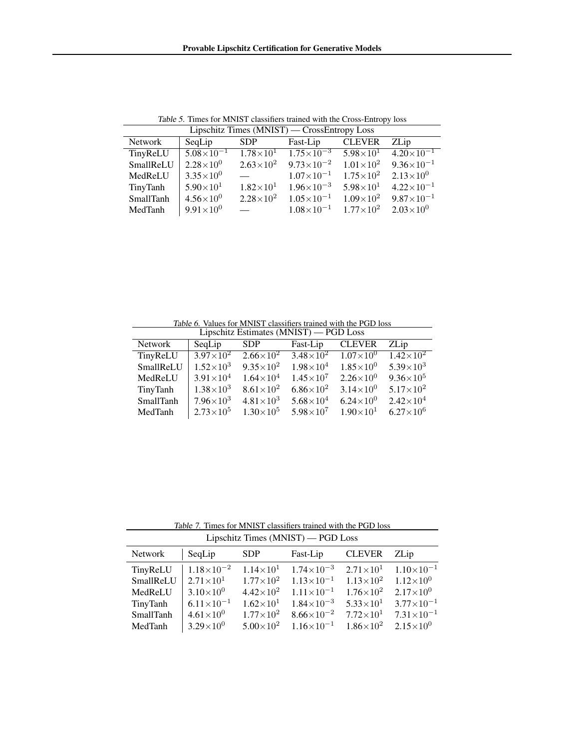<span id="page-21-0"></span>

| $Lipschitz$ limes $(MNIS1)$ — CrossEntropy Loss |                     |                          |                       |                      |                       |  |  |  |  |
|-------------------------------------------------|---------------------|--------------------------|-----------------------|----------------------|-----------------------|--|--|--|--|
| Network                                         | SeqLip              | <b>SDP</b>               | Fast-Lip              | <b>CLEVER</b>        | ZLip                  |  |  |  |  |
| TinyReLU                                        | $5.08\times10^{-1}$ | $1.78\times10^{1}$       | $1.75 \times 10^{-3}$ | $5.98\times10^{1}$   | $4.20\times10^{-1}$   |  |  |  |  |
| SmallReLU                                       | $2.28\times10^{0}$  | $2.63\times10^{2}$       | $9.73 \times 10^{-2}$ | $1.01\times10^{2}$   | $9.36\times10^{-1}$   |  |  |  |  |
| MedReLU                                         | $3.35\times10^{0}$  |                          | $1.07\times10^{-1}$   | $1.75 \times 10^{2}$ | $2.13\times10^{0}$    |  |  |  |  |
| TinyTanh                                        | $5.90\times10^{1}$  | $1.82\times10^{1}$       | $1.96\times10^{-3}$   | $5.98\times10^{1}$   | $4.22 \times 10^{-1}$ |  |  |  |  |
| SmallTanh                                       | $4.56\times10^{0}$  | $2.28\times10^{2}$       | $1.05\times10^{-1}$   | $1.09\times10^{2}$   | $9.87\times10^{-1}$   |  |  |  |  |
| MedTanh                                         | $9.91\times10^{0}$  | <b>Contract Contract</b> | $1.08\times10^{-1}$   | $1.77\times10^{2}$   | $2.03\times10^{0}$    |  |  |  |  |

Table 5. Times for MNIST classifiers trained with the Cross-Entropy loss<br> $\frac{1}{1}$  inschitz Times (MNIST) — Cross-Entropy Loss  $\overline{(MMIRT)}$ 

Table 6. Values for MNIST classifiers trained with the PGD loss

| Lipschitz Estimates (MNIST) — PGD Loss |                      |                      |                    |                           |                    |  |  |  |  |
|----------------------------------------|----------------------|----------------------|--------------------|---------------------------|--------------------|--|--|--|--|
| <b>Network</b>                         | SeqLip               | <b>SDP</b>           | Fast-Lip           | <b>CLEVER</b>             | ZLip               |  |  |  |  |
| TinyReLU                               | $3.97 \times 10^{2}$ | $2.66\times10^{2}$   | $3.48\times10^{2}$ | $\sqrt{1.07 \times 10^0}$ | $1.42\times10^{2}$ |  |  |  |  |
| SmallReLU                              | $1.52\times10^{3}$   | $9.35 \times 10^{2}$ | $1.98\times10^{4}$ | $1.85\times10^{0}$        | $5.39\times10^{3}$ |  |  |  |  |
| MedReLU                                | $3.91 \times 10^{4}$ | $1.64\times10^{4}$   | $1.45\times10^{7}$ | $2.26\times10^{0}$        | $9.36\times10^{5}$ |  |  |  |  |
| TinyTanh                               | $1.38\times10^{3}$   | $8.61 \times 10^{2}$ | $6.86\times10^{2}$ | $3.14\times10^{0}$        | $5.17\times10^{2}$ |  |  |  |  |
| SmallTanh                              | $7.96\times10^{3}$   | $4.81\times10^{3}$   | $5.68\times10^{4}$ | $6.24\times10^{0}$        | $2.42\times10^{4}$ |  |  |  |  |
| MedTanh                                | $2.73 \times 10^5$   | $1.30\times10^{5}$   | $5.98\times10^{7}$ | $1.90 \times 10^{1}$      | $6.27\times10^{6}$ |  |  |  |  |

Table 7. Times for MNIST classifiers trained with the PGD loss Lipschitz Times (MNIST) — PGD Loss

| $\frac{1}{2}$ |                       |                    |                       |                    |                       |  |  |  |
|---------------|-----------------------|--------------------|-----------------------|--------------------|-----------------------|--|--|--|
| Network       | SeqLip                | <b>SDP</b>         | Fast-Lip              | <b>CLEVER</b>      | ZLip                  |  |  |  |
| TinyReLU      | $1.18\times10^{-2}$   | $1.14\times10^{1}$ | $1.74\times10^{-3}$   | $2.71\times10^{1}$ | $1.10\times10^{-1}$   |  |  |  |
| SmallReLU     | $2.71\times10^{1}$    | $1.77\times10^{2}$ | $1.13\times10^{-1}$   | $1.13\times10^{2}$ | $1.12 \times 10^{0}$  |  |  |  |
| MedReLU       | $3.10\times10^{0}$    | $4.42\times10^{2}$ | $1.11\times10^{-1}$   | $1.76\times10^{2}$ | $2.17\times10^{0}$    |  |  |  |
| TinyTanh      | $6.11 \times 10^{-1}$ | $1.62\times10^{1}$ | $1.84\times10^{-3}$   | $5.33\times10^{1}$ | $3.77\times10^{-1}$   |  |  |  |
| SmallTanh     | $4.61 \times 10^{0}$  | $1.77\times10^{2}$ | $8.66 \times 10^{-2}$ | $7.72\times10^{1}$ | $7.31 \times 10^{-1}$ |  |  |  |
| MedTanh       | $3.29\times10^{0}$    | $5.00\times10^{2}$ | $1.16 \times 10^{-1}$ | $1.86\times10^{2}$ | $2.15 \times 10^{0}$  |  |  |  |
|               |                       |                    |                       |                    |                       |  |  |  |